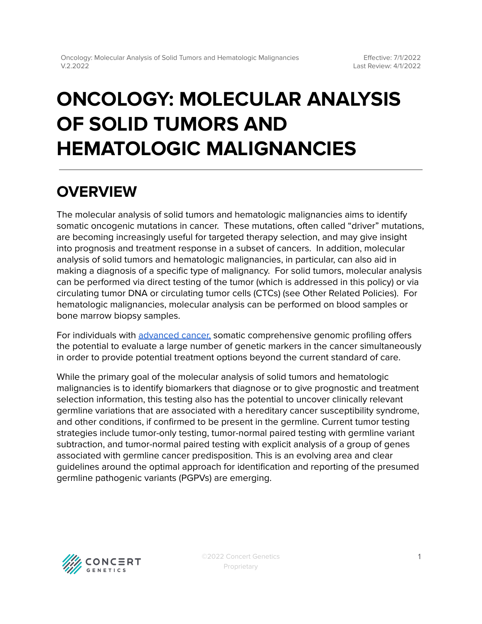# **ONCOLOGY: MOLECULAR ANALYSIS OF SOLID TUMORS AND HEMATOLOGIC MALIGNANCIES**

## **OVERVIEW**

The molecular analysis of solid tumors and hematologic malignancies aims to identify somatic oncogenic mutations in cancer. These mutations, often called "driver" mutations, are becoming increasingly useful for targeted therapy selection, and may give insight into prognosis and treatment response in a subset of cancers. In addition, molecular analysis of solid tumors and hematologic malignancies, in particular, can also aid in making a diagnosis of a specific type of malignancy. For solid tumors, molecular analysis can be performed via direct testing of the tumor (which is addressed in this policy) or via circulating tumor DNA or circulating tumor cells (CTCs) (see Other Related Policies). For hematologic malignancies, molecular analysis can be performed on blood samples or bone marrow biopsy samples.

For individuals with [advanced](#page-24-0) cancer, somatic comprehensive genomic profiling offers the potential to evaluate a large number of genetic markers in the cancer simultaneously in order to provide potential treatment options beyond the current standard of care.

While the primary goal of the molecular analysis of solid tumors and hematologic malignancies is to identify biomarkers that diagnose or to give prognostic and treatment selection information, this testing also has the potential to uncover clinically relevant germline variations that are associated with a hereditary cancer susceptibility syndrome, and other conditions, if confirmed to be present in the germline. Current tumor testing strategies include tumor-only testing, tumor-normal paired testing with germline variant subtraction, and tumor-normal paired testing with explicit analysis of a group of genes associated with germline cancer predisposition. This is an evolving area and clear guidelines around the optimal approach for identification and reporting of the presumed germline pathogenic variants (PGPVs) are emerging.

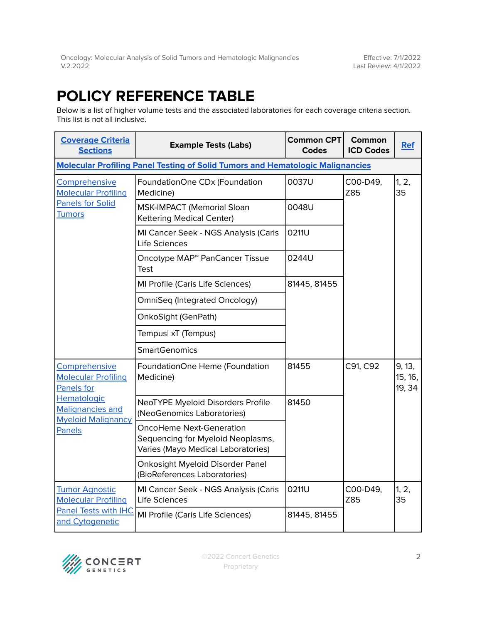Effective: 7/1/2022 Last Review: 4/1/2022

## <span id="page-1-0"></span>**POLICY REFERENCE TABLE**

Below is a list of higher volume tests and the associated laboratories for each coverage criteria section. This list is not all inclusive.

| <b>Coverage Criteria</b><br><b>Sections</b>                                                                                                | <b>Example Tests (Labs)</b>                                                                                | <b>Common CPT</b><br><b>Codes</b> | Common<br><b>ICD Codes</b> | <b>Ref</b>                  |
|--------------------------------------------------------------------------------------------------------------------------------------------|------------------------------------------------------------------------------------------------------------|-----------------------------------|----------------------------|-----------------------------|
| <b>Molecular Profiling Panel Testing of Solid Tumors and Hematologic Malignancies</b>                                                      |                                                                                                            |                                   |                            |                             |
| Comprehensive<br><b>Molecular Profiling</b><br><b>Panels for Solid</b><br><b>Tumors</b>                                                    | FoundationOne CDx (Foundation<br>Medicine)                                                                 | 0037U                             | C00-D49,<br>Z85            | 1, 2,<br>35                 |
|                                                                                                                                            | <b>MSK-IMPACT (Memorial Sloan</b><br>Kettering Medical Center)                                             | 0048U                             |                            |                             |
|                                                                                                                                            | MI Cancer Seek - NGS Analysis (Caris<br>Life Sciences                                                      | 0211U                             |                            |                             |
|                                                                                                                                            | Oncotype MAP <sup>™</sup> PanCancer Tissue<br><b>Test</b>                                                  | 0244U                             |                            |                             |
|                                                                                                                                            | MI Profile (Caris Life Sciences)                                                                           | 81445, 81455                      |                            |                             |
|                                                                                                                                            | <b>OmniSeq (Integrated Oncology)</b>                                                                       |                                   |                            |                             |
|                                                                                                                                            | OnkoSight (GenPath)                                                                                        |                                   |                            |                             |
|                                                                                                                                            | Tempusl xT (Tempus)                                                                                        |                                   |                            |                             |
|                                                                                                                                            | <b>SmartGenomics</b>                                                                                       |                                   |                            |                             |
| Comprehensive<br><b>Molecular Profiling</b><br>Panels for<br>Hematologic<br><b>Malignancies and</b><br><b>Myeloid Malignancy</b><br>Panels | FoundationOne Heme (Foundation<br>Medicine)                                                                | 81455                             | C91, C92                   | 9, 13,<br>15, 16,<br>19, 34 |
|                                                                                                                                            | NeoTYPE Myeloid Disorders Profile<br>(NeoGenomics Laboratories)                                            | 81450                             |                            |                             |
|                                                                                                                                            | <b>OncoHeme Next-Generation</b><br>Sequencing for Myeloid Neoplasms,<br>Varies (Mayo Medical Laboratories) |                                   |                            |                             |
|                                                                                                                                            | Onkosight Myeloid Disorder Panel<br>(BioReferences Laboratories)                                           |                                   |                            |                             |
| <b>Tumor Agnostic</b><br><b>Molecular Profiling</b>                                                                                        | MI Cancer Seek - NGS Analysis (Caris<br>Life Sciences                                                      | 0211U                             | C00-D49,<br>Z85            | 1, 2,<br>35                 |
| <b>Panel Tests with IHC</b><br>and Cytogenetic                                                                                             | MI Profile (Caris Life Sciences)                                                                           | 81445, 81455                      |                            |                             |

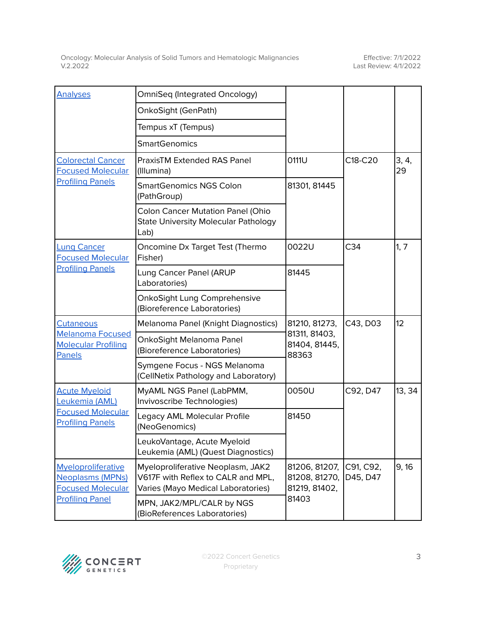| <b>Analyses</b>                                                                                     | <b>OmniSeq (Integrated Oncology)</b>                                                                          |                                                          |                       |             |
|-----------------------------------------------------------------------------------------------------|---------------------------------------------------------------------------------------------------------------|----------------------------------------------------------|-----------------------|-------------|
|                                                                                                     | OnkoSight (GenPath)                                                                                           |                                                          |                       |             |
|                                                                                                     | Tempus xT (Tempus)                                                                                            |                                                          |                       |             |
|                                                                                                     | <b>SmartGenomics</b>                                                                                          |                                                          |                       |             |
| <b>Colorectal Cancer</b><br><b>Focused Molecular</b>                                                | PraxisTM Extended RAS Panel<br>(Illumina)                                                                     | 0111U                                                    | C18-C20               | 3, 4,<br>29 |
| <b>Profiling Panels</b>                                                                             | <b>SmartGenomics NGS Colon</b><br>(PathGroup)                                                                 | 81301, 81445                                             |                       |             |
|                                                                                                     | Colon Cancer Mutation Panel (Ohio<br><b>State University Molecular Pathology</b><br>Lab)                      |                                                          |                       |             |
| <b>Lung Cancer</b><br><b>Focused Molecular</b><br><b>Profiling Panels</b>                           | Oncomine Dx Target Test (Thermo<br>Fisher)                                                                    | 0022U                                                    | C <sub>34</sub>       | 1, 7        |
|                                                                                                     | Lung Cancer Panel (ARUP<br>Laboratories)                                                                      | 81445                                                    |                       |             |
|                                                                                                     | OnkoSight Lung Comprehensive<br>(Bioreference Laboratories)                                                   |                                                          |                       |             |
| Cutaneous<br><b>Melanoma Focused</b><br><b>Molecular Profiling</b><br>Panels                        | Melanoma Panel (Knight Diagnostics)                                                                           | 81210, 81273,<br>81311, 81403,<br>81404, 81445,<br>88363 | C43, D03              | 12          |
|                                                                                                     | OnkoSight Melanoma Panel<br>(Bioreference Laboratories)                                                       |                                                          |                       |             |
|                                                                                                     | Symgene Focus - NGS Melanoma<br>(CellNetix Pathology and Laboratory)                                          |                                                          |                       |             |
| <b>Acute Myeloid</b><br>Leukemia (AML)                                                              | MyAML NGS Panel (LabPMM,<br>Invivoscribe Technologies)                                                        | 0050U                                                    | C92, D47              | 13, 34      |
| <b>Focused Molecular</b><br><b>Profiling Panels</b>                                                 | Legacy AML Molecular Profile<br>(NeoGenomics)                                                                 | 81450                                                    |                       |             |
|                                                                                                     | LeukoVantage, Acute Myeloid<br>Leukemia (AML) (Quest Diagnostics)                                             |                                                          |                       |             |
| Myeloproliferative<br><b>Neoplasms (MPNs)</b><br><b>Focused Molecular</b><br><b>Profiling Panel</b> | Myeloproliferative Neoplasm, JAK2<br>V617F with Reflex to CALR and MPL,<br>Varies (Mayo Medical Laboratories) | 81206, 81207,<br>81208, 81270,<br>81219, 81402,          | C91, C92,<br>D45, D47 | 9,16        |
|                                                                                                     | MPN, JAK2/MPL/CALR by NGS<br>(BioReferences Laboratories)                                                     | 81403                                                    |                       |             |

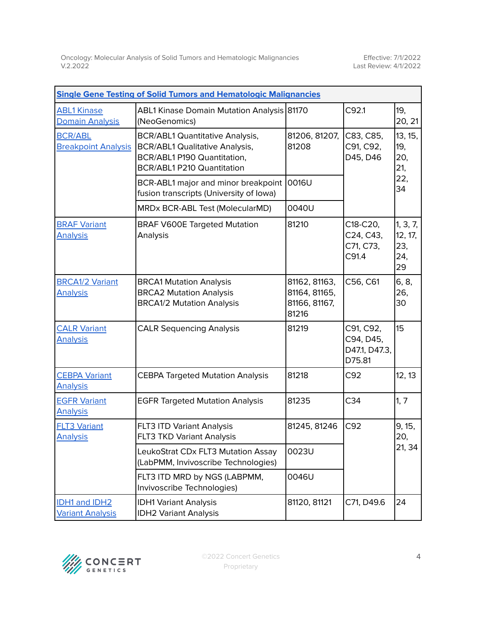Effective: 7/1/2022 Last Review: 4/1/2022

h

| <b>Single Gene Testing of Solid Tumors and Hematologic Malignancies</b> |                                                                                                                                                     |                                                          |                                                   |                                         |
|-------------------------------------------------------------------------|-----------------------------------------------------------------------------------------------------------------------------------------------------|----------------------------------------------------------|---------------------------------------------------|-----------------------------------------|
| <b>ABL1 Kinase</b><br><b>Domain Analysis</b>                            | ABL1 Kinase Domain Mutation Analysis 81170<br>(NeoGenomics)                                                                                         |                                                          | C92.1                                             | 19.<br>20, 21                           |
| <b>BCR/ABL</b><br><b>Breakpoint Analysis</b>                            | <b>BCR/ABL1 Quantitative Analysis,</b><br><b>BCR/ABL1 Qualitative Analysis,</b><br>BCR/ABL1 P190 Quantitation,<br><b>BCR/ABL1 P210 Quantitation</b> | 81206, 81207,<br>81208                                   | C83, C85,<br>C91, C92,<br>D45, D46                | 13, 15,<br>19,<br>20,<br>21,            |
|                                                                         | BCR-ABL1 major and minor breakpoint<br>fusion transcripts (University of lowa)                                                                      | <b>0016U</b>                                             |                                                   | 22,<br>34                               |
|                                                                         | MRDx BCR-ABL Test (MolecularMD)                                                                                                                     | 0040U                                                    |                                                   |                                         |
| <b>BRAF Variant</b><br><b>Analysis</b>                                  | <b>BRAF V600E Targeted Mutation</b><br>Analysis                                                                                                     | 81210                                                    | C18-C20,<br>C24, C43,<br>C71, C73,<br>C91.4       | 1, 3, 7,<br>12, 17,<br>23,<br>24,<br>29 |
| <b>BRCA1/2 Variant</b><br><b>Analysis</b>                               | <b>BRCA1 Mutation Analysis</b><br><b>BRCA2 Mutation Analysis</b><br><b>BRCA1/2 Mutation Analysis</b>                                                | 81162, 81163,<br>81164, 81165,<br>81166, 81167,<br>81216 | C56, C61                                          | 6, 8,<br>26,<br>30                      |
| <b>CALR Variant</b><br><b>Analysis</b>                                  | <b>CALR Sequencing Analysis</b>                                                                                                                     | 81219                                                    | C91, C92,<br>C94, D45,<br>D47.1, D47.3,<br>D75.81 | 15                                      |
| <b>CEBPA Variant</b><br><b>Analysis</b>                                 | <b>CEBPA Targeted Mutation Analysis</b>                                                                                                             | 81218                                                    | C92                                               | 12, 13                                  |
| <b>EGFR Variant</b><br><b>Analysis</b>                                  | <b>EGFR Targeted Mutation Analysis</b>                                                                                                              | 81235                                                    | C <sub>34</sub>                                   | 1, 7                                    |
| <b>FLT3 Variant</b><br><b>Analysis</b>                                  | FLT3 ITD Variant Analysis<br><b>FLT3 TKD Variant Analysis</b>                                                                                       | 81245, 81246                                             | C92                                               | 9, 15,<br>20,                           |
|                                                                         | LeukoStrat CDx FLT3 Mutation Assay<br>(LabPMM, Invivoscribe Technologies)                                                                           | 0023U                                                    |                                                   | 21, 34                                  |
|                                                                         | FLT3 ITD MRD by NGS (LABPMM,<br>Invivoscribe Technologies)                                                                                          | 0046U                                                    |                                                   |                                         |
| <b>IDH1 and IDH2</b><br><b>Variant Analysis</b>                         | <b>IDH1 Variant Analysis</b><br><b>IDH2 Variant Analysis</b>                                                                                        | 81120, 81121                                             | C71, D49.6                                        | 24                                      |

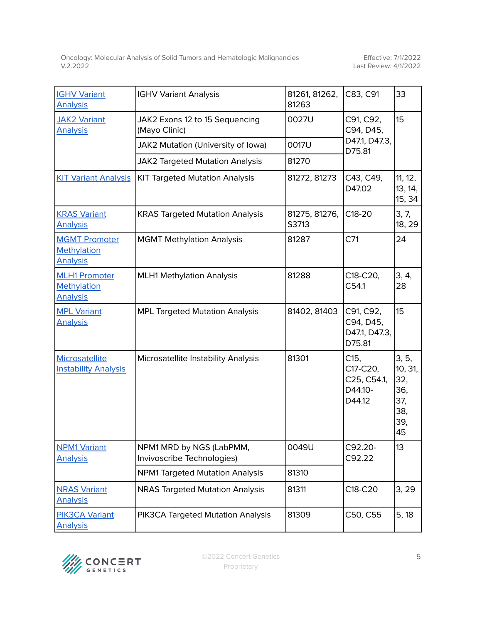| <b>IGHV Variant</b><br><b>Analysis</b>                        | <b>IGHV Variant Analysis</b>                           | 81261, 81262,<br>81263 | C83, C91                                             | 33                                                        |
|---------------------------------------------------------------|--------------------------------------------------------|------------------------|------------------------------------------------------|-----------------------------------------------------------|
| JAK2 Variant<br><b>Analysis</b>                               | JAK2 Exons 12 to 15 Sequencing<br>(Mayo Clinic)        | 0027U                  | C91, C92,<br>C94, D45,                               | 15                                                        |
|                                                               | JAK2 Mutation (University of lowa)                     | 0017U                  | D47.1, D47.3,<br>D75.81                              |                                                           |
|                                                               | <b>JAK2 Targeted Mutation Analysis</b>                 | 81270                  |                                                      |                                                           |
| <b>KIT Variant Analysis</b>                                   | <b>KIT Targeted Mutation Analysis</b>                  | 81272, 81273           | C43, C49,<br>D47.02                                  | 11, 12,<br>13, 14,<br>15, 34                              |
| <b>KRAS Variant</b><br><b>Analysis</b>                        | <b>KRAS Targeted Mutation Analysis</b>                 | 81275, 81276,<br>S3713 | C18-20                                               | 3, 7,<br>18, 29                                           |
| <b>MGMT Promoter</b><br><b>Methylation</b><br><b>Analysis</b> | <b>MGMT Methylation Analysis</b>                       | 81287                  | C <sub>71</sub>                                      | 24                                                        |
| <b>MLH1 Promoter</b><br>Methylation<br><b>Analysis</b>        | <b>MLH1 Methylation Analysis</b>                       | 81288                  | C18-C20,<br>C54.1                                    | 3, 4,<br>28                                               |
| <b>MPL Variant</b><br><b>Analysis</b>                         | <b>MPL Targeted Mutation Analysis</b>                  | 81402, 81403           | C91, C92,<br>C94, D45,<br>D47.1, D47.3,<br>D75.81    | 15                                                        |
| <b>Microsatellite</b><br><b>Instability Analysis</b>          | Microsatellite Instability Analysis                    | 81301                  | C15,<br>C17-C20,<br>C25, C54.1,<br>D44.10-<br>D44.12 | 3, 5,<br>10, 31,<br>32,<br>36,<br>37,<br>38,<br>39,<br>45 |
| <b>NPM1 Variant</b><br><b>Analysis</b>                        | NPM1 MRD by NGS (LabPMM,<br>Invivoscribe Technologies) | 0049U                  | C92.20-<br>C92.22                                    | 13                                                        |
|                                                               | <b>NPM1 Targeted Mutation Analysis</b>                 | 81310                  |                                                      |                                                           |
| <b>NRAS Variant</b><br><u>Analysis</u>                        | <b>NRAS Targeted Mutation Analysis</b>                 | 81311                  | C18-C20                                              | 3, 29                                                     |
| <b>PIK3CA Variant</b><br><b>Analysis</b>                      | PIK3CA Targeted Mutation Analysis                      | 81309                  | C50, C55                                             | 5, 18                                                     |

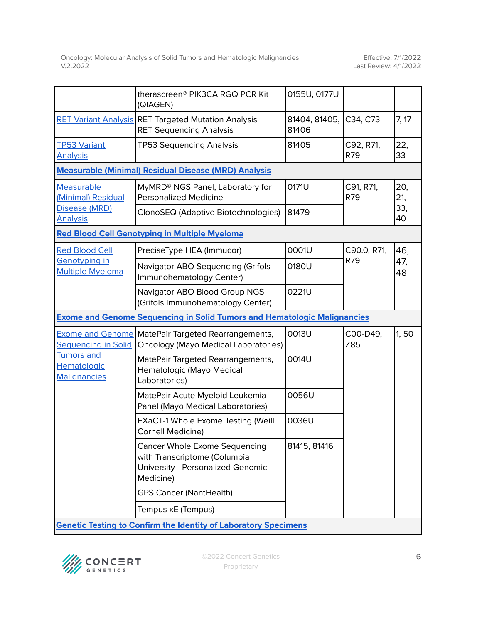|                                                       | therascreen <sup>®</sup> PIK3CA RGQ PCR Kit<br>(QIAGEN)                                                                | 0155U, 0177U           |                  |            |
|-------------------------------------------------------|------------------------------------------------------------------------------------------------------------------------|------------------------|------------------|------------|
|                                                       | <b>RET Variant Analysis RET Targeted Mutation Analysis</b><br><b>RET Sequencing Analysis</b>                           | 81404, 81405,<br>81406 | C34, C73         | 7, 17      |
| <b>TP53 Variant</b><br><b>Analysis</b>                | <b>TP53 Sequencing Analysis</b>                                                                                        | 81405                  | C92, R71,<br>R79 | 22,<br>33  |
|                                                       | <b>Measurable (Minimal) Residual Disease (MRD) Analysis</b>                                                            |                        |                  |            |
| Measurable<br>(Minimal) Residual                      | MyMRD® NGS Panel, Laboratory for<br><b>Personalized Medicine</b>                                                       | 0171U                  | C91, R71,<br>R79 | 20,<br>21, |
| Disease (MRD)<br><b>Analysis</b>                      | ClonoSEQ (Adaptive Biotechnologies)                                                                                    | 81479                  |                  | 33,<br>40  |
|                                                       | <b>Red Blood Cell Genotyping in Multiple Myeloma</b>                                                                   |                        |                  |            |
| <b>Red Blood Cell</b>                                 | PreciseType HEA (Immucor)                                                                                              | 0001U                  | C90.0, R71,      | 46,        |
| Genotyping in<br><b>Multiple Myeloma</b>              | Navigator ABO Sequencing (Grifols<br>Immunohematology Center)                                                          | 0180U                  | R79              | 47,<br>48  |
|                                                       | Navigator ABO Blood Group NGS<br>(Grifols Immunohematology Center)                                                     | 0221U                  |                  |            |
|                                                       | <b>Exome and Genome Sequencing in Solid Tumors and Hematologic Malignancies</b>                                        |                        |                  |            |
| <b>Exome and Genome</b><br><b>Sequencing in Solid</b> | MatePair Targeted Rearrangements,<br><b>Oncology (Mayo Medical Laboratories)</b>                                       | 0013U                  | C00-D49,<br>Z85  | 1,50       |
|                                                       |                                                                                                                        |                        |                  |            |
| Tumors and<br>Hematologic<br><b>Malignancies</b>      | MatePair Targeted Rearrangements,<br>Hematologic (Mayo Medical<br>Laboratories)                                        | 0014U                  |                  |            |
|                                                       | MatePair Acute Myeloid Leukemia<br>Panel (Mayo Medical Laboratories)                                                   | 0056U                  |                  |            |
|                                                       | EXaCT-1 Whole Exome Testing (Weill<br>Cornell Medicine)                                                                | 0036U                  |                  |            |
|                                                       | <b>Cancer Whole Exome Sequencing</b><br>with Transcriptome (Columbia<br>University - Personalized Genomic<br>Medicine) | 81415, 81416           |                  |            |
|                                                       | <b>GPS Cancer (NantHealth)</b>                                                                                         |                        |                  |            |
|                                                       | Tempus xE (Tempus)                                                                                                     |                        |                  |            |

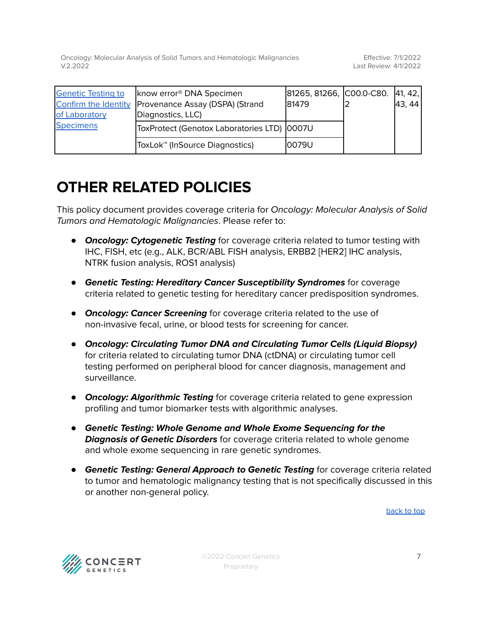| <b>Genetic Testing to</b> | know error <sup>®</sup> DNA Specimen        | $ 81265, 81266,  CO0.0-C80.  41, 42,  $ |        |
|---------------------------|---------------------------------------------|-----------------------------------------|--------|
| Confirm the Identity      | Provenance Assay (DSPA) (Strand             | 81479                                   | 43, 44 |
| of Laboratory             | Diagnostics, LLC)                           |                                         |        |
| <b>Specimens</b>          | ToxProtect (Genotox Laboratories LTD) 0007U |                                         |        |
|                           | ToxLok <sup>™</sup> (InSource Diagnostics)  | 10079U                                  |        |

## **OTHER RELATED POLICIES**

This policy document provides coverage criteria for Oncology: Molecular Analysis of Solid Tumors and Hematologic Malignancies. Please refer to:

- **Oncology: Cytogenetic Testing** for coverage criteria related to tumor testing with IHC, FISH, etc (e.g., ALK, BCR/ABL FISH analysis, ERBB2 [HER2] IHC analysis, NTRK fusion analysis, ROS1 analysis)
- **Genetic Testing: Hereditary Cancer Susceptibility Syndromes** for coverage criteria related to genetic testing for hereditary cancer predisposition syndromes.
- **Oncology: Cancer Screening** for coverage criteria related to the use of non-invasive fecal, urine, or blood tests for screening for cancer.
- **Oncology: Circulating Tumor DNA and Circulating Tumor Cells (Liquid Biopsy)** for criteria related to circulating tumor DNA (ctDNA) or circulating tumor cell testing performed on peripheral blood for cancer diagnosis, management and surveillance.
- **Oncology: Algorithmic Testing** for coverage criteria related to gene expression profiling and tumor biomarker tests with algorithmic analyses.
- **Genetic Testing: Whole Genome and Whole Exome Sequencing for the Diagnosis of Genetic Disorders** for coverage criteria related to whole genome and whole exome sequencing in rare genetic syndromes.
- **Genetic Testing: General Approach to Genetic Testing** for coverage criteria related to tumor and hematologic malignancy testing that is not specifically discussed in this or another non-general policy.

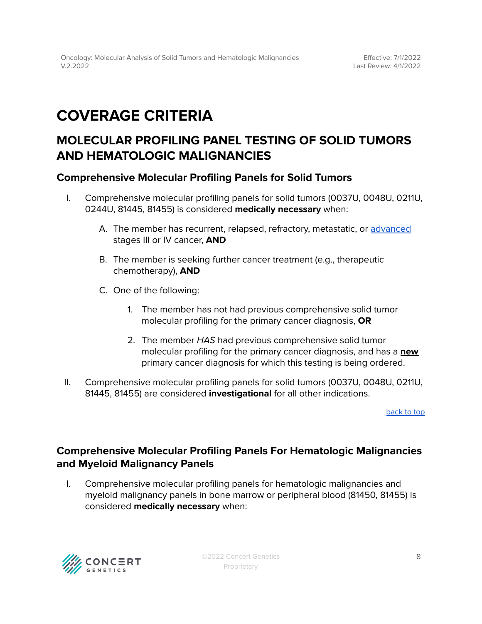## <span id="page-7-0"></span>**COVERAGE CRITERIA**

## <span id="page-7-1"></span>**MOLECULAR PROFILING PANEL TESTING OF SOLID TUMORS AND HEMATOLOGIC MALIGNANCIES**

### <span id="page-7-2"></span>**Comprehensive Molecular Profiling Panels for Solid Tumors**

- I. Comprehensive molecular profiling panels for solid tumors (0037U, 0048U, 0211U, 0244U, 81445, 81455) is considered **medically necessary** when:
	- A. The member has recurrent, relapsed, refractory, metastatic, or [advanced](#page-24-0) stages III or IV cancer, **AND**
	- B. The member is seeking further cancer treatment (e.g., therapeutic chemotherapy), **AND**
	- C. One of the following:
		- 1. The member has not had previous comprehensive solid tumor molecular profiling for the primary cancer diagnosis, **OR**
		- 2. The member HAS had previous comprehensive solid tumor molecular profiling for the primary cancer diagnosis, and has a **new** primary cancer diagnosis for which this testing is being ordered.
- II. Comprehensive molecular profiling panels for solid tumors (0037U, 0048U, 0211U, 81445, 81455) are considered **investigational** for all other indications.

[back](#page-1-0) to top

## <span id="page-7-3"></span>**Comprehensive Molecular Profiling Panels For Hematologic Malignancies and Myeloid Malignancy Panels**

I. Comprehensive molecular profiling panels for hematologic malignancies and myeloid malignancy panels in bone marrow or peripheral blood (81450, 81455) is considered **medically necessary** when:

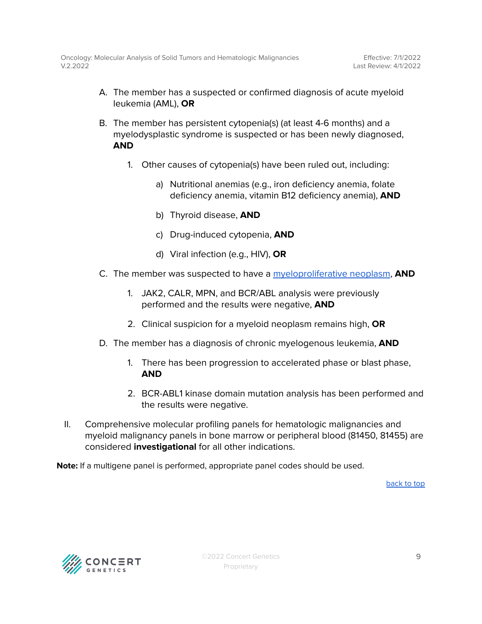- A. The member has a suspected or confirmed diagnosis of acute myeloid leukemia (AML), **OR**
- B. The member has persistent cytopenia(s) (at least 4-6 months) and a myelodysplastic syndrome is suspected or has been newly diagnosed, **AND**
	- 1. Other causes of cytopenia(s) have been ruled out, including:
		- a) Nutritional anemias (e.g., iron deficiency anemia, folate deficiency anemia, vitamin B12 deficiency anemia), **AND**
		- b) Thyroid disease, **AND**
		- c) Drug-induced cytopenia, **AND**
		- d) Viral infection (e.g., HIV), **OR**
- C. The member was suspected to have a [myeloproliferative](#page-24-0) neoplasm, **AND**
	- 1. JAK2, CALR, MPN, and BCR/ABL analysis were previously performed and the results were negative, **AND**
	- 2. Clinical suspicion for a myeloid neoplasm remains high, **OR**
- D. The member has a diagnosis of chronic myelogenous leukemia, **AND**
	- 1. There has been progression to accelerated phase or blast phase, **AND**
	- 2. BCR-ABL1 kinase domain mutation analysis has been performed and the results were negative.
- II. Comprehensive molecular profiling panels for hematologic malignancies and myeloid malignancy panels in bone marrow or peripheral blood (81450, 81455) are considered **investigational** for all other indications.

**Note:** If a multigene panel is performed, appropriate panel codes should be used.

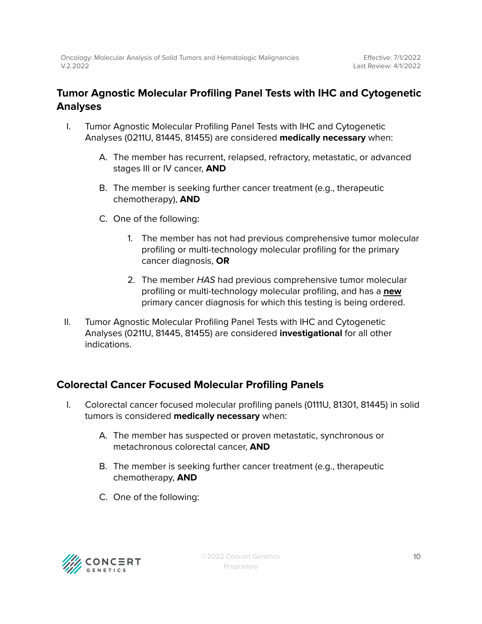## <span id="page-9-0"></span>**Tumor Agnostic Molecular Profiling Panel Tests with IHC and Cytogenetic Analyses**

- I. Tumor Agnostic Molecular Profiling Panel Tests with IHC and Cytogenetic Analyses (0211U, 81445, 81455) are considered **medically necessary** when:
	- A. The member has recurrent, relapsed, refractory, metastatic, or advanced stages III or IV cancer, **AND**
	- B. The member is seeking further cancer treatment (e.g., therapeutic chemotherapy), **AND**
	- C. One of the following:
		- 1. The member has not had previous comprehensive tumor molecular profiling or multi-technology molecular profiling for the primary cancer diagnosis, **OR**
		- 2. The member HAS had previous comprehensive tumor molecular profiling or multi-technology molecular profiling, and has a **new** primary cancer diagnosis for which this testing is being ordered.
- II. Tumor Agnostic Molecular Profiling Panel Tests with IHC and Cytogenetic Analyses (0211U, 81445, 81455) are considered **investigational** for all other indications.

## <span id="page-9-1"></span>**Colorectal Cancer Focused Molecular Profiling Panels**

- I. Colorectal cancer focused molecular profiling panels (0111U, 81301, 81445) in solid tumors is considered **medically necessary** when:
	- A. The member has suspected or proven metastatic, synchronous or metachronous colorectal cancer, **AND**
	- B. The member is seeking further cancer treatment (e.g., therapeutic chemotherapy, **AND**
	- C. One of the following:

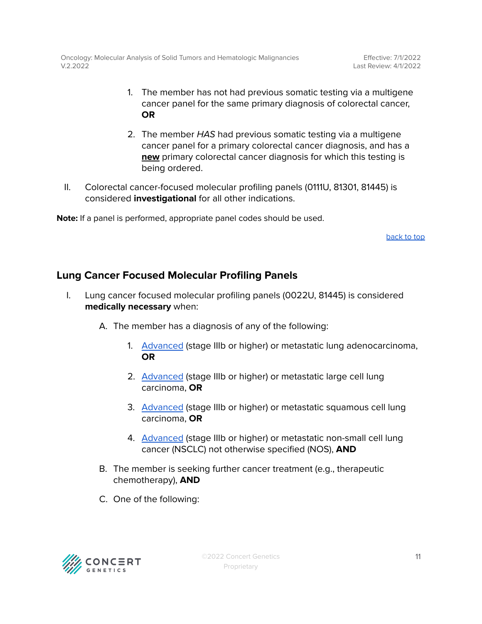- 1. The member has not had previous somatic testing via a multigene cancer panel for the same primary diagnosis of colorectal cancer, **OR**
- 2. The member HAS had previous somatic testing via a multigene cancer panel for a primary colorectal cancer diagnosis, and has a **new** primary colorectal cancer diagnosis for which this testing is being ordered.
- II. Colorectal cancer-focused molecular profiling panels (0111U, 81301, 81445) is considered **investigational** for all other indications.

**Note:** If a panel is performed, appropriate panel codes should be used.

[back](#page-1-0) to top

## <span id="page-10-0"></span>**Lung Cancer Focused Molecular Profiling Panels**

- I. Lung cancer focused molecular profiling panels (0022U, 81445) is considered **medically necessary** when:
	- A. The member has a diagnosis of any of the following:
		- 1. [Advanced](#page-24-0) (stage IIIb or higher) or metastatic lung adenocarcinoma, **OR**
		- 2. [Advanced](#page-24-0) (stage IIIb or higher) or metastatic large cell lung carcinoma, **OR**
		- 3. [Advanced](#page-24-0) (stage IIIb or higher) or metastatic squamous cell lung carcinoma, **OR**
		- 4. [Advanced](#page-24-0) (stage IIIb or higher) or metastatic non-small cell lung cancer (NSCLC) not otherwise specified (NOS), **AND**
	- B. The member is seeking further cancer treatment (e.g., therapeutic chemotherapy), **AND**
	- C. One of the following:

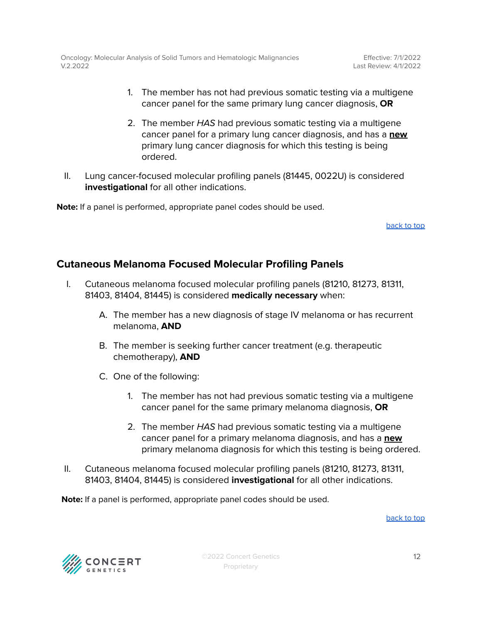- 1. The member has not had previous somatic testing via a multigene cancer panel for the same primary lung cancer diagnosis, **OR**
- 2. The member HAS had previous somatic testing via a multigene cancer panel for a primary lung cancer diagnosis, and has a **new** primary lung cancer diagnosis for which this testing is being ordered.
- II. Lung cancer-focused molecular profiling panels (81445, 0022U) is considered **investigational** for all other indications.

**Note:** If a panel is performed, appropriate panel codes should be used.

[back](#page-1-0) to top

## <span id="page-11-0"></span>**Cutaneous Melanoma Focused Molecular Profiling Panels**

- I. Cutaneous melanoma focused molecular profiling panels (81210, 81273, 81311, 81403, 81404, 81445) is considered **medically necessary** when:
	- A. The member has a new diagnosis of stage IV melanoma or has recurrent melanoma, **AND**
	- B. The member is seeking further cancer treatment (e.g. therapeutic chemotherapy), **AND**
	- C. One of the following:
		- 1. The member has not had previous somatic testing via a multigene cancer panel for the same primary melanoma diagnosis, **OR**
		- 2. The member HAS had previous somatic testing via a multigene cancer panel for a primary melanoma diagnosis, and has a **new** primary melanoma diagnosis for which this testing is being ordered.
- II. Cutaneous melanoma focused molecular profiling panels (81210, 81273, 81311, 81403, 81404, 81445) is considered **investigational** for all other indications.

**Note:** If a panel is performed, appropriate panel codes should be used.

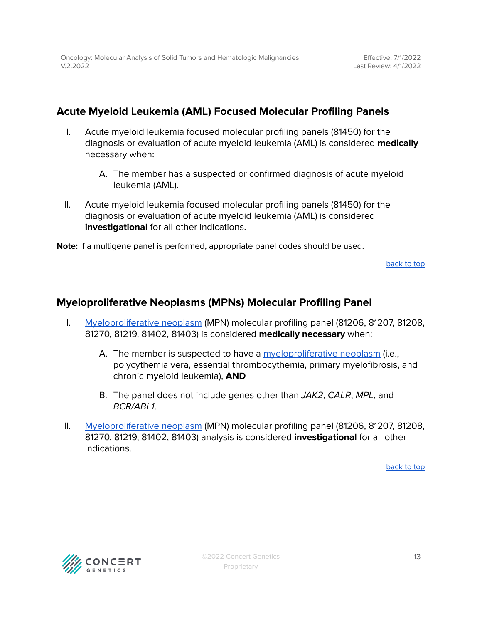## <span id="page-12-0"></span>**Acute Myeloid Leukemia (AML) Focused Molecular Profiling Panels**

- I. Acute myeloid leukemia focused molecular profiling panels (81450) for the diagnosis or evaluation of acute myeloid leukemia (AML) is considered **medically** necessary when:
	- A. The member has a suspected or confirmed diagnosis of acute myeloid leukemia (AML).
- II. Acute myeloid leukemia focused molecular profiling panels (81450) for the diagnosis or evaluation of acute myeloid leukemia (AML) is considered **investigational** for all other indications.

**Note:** If a multigene panel is performed, appropriate panel codes should be used.

[back](#page-1-0) to top

## <span id="page-12-1"></span>**Myeloproliferative Neoplasms (MPNs) Molecular Profiling Panel**

- I. [Myeloproliferative](#page-24-0) neoplasm (MPN) molecular profiling panel (81206, 81207, 81208, 81270, 81219, 81402, 81403) is considered **medically necessary** when:
	- A. The member is suspected to have a [myeloproliferative](#page-24-0) neoplasm (i.e., polycythemia vera, essential thrombocythemia, primary myelofibrosis, and chronic myeloid leukemia), **AND**
	- B. The panel does not include genes other than JAK2, CALR, MPL, and BCR/ABL1.
- II. [Myeloproliferative](#page-24-0) neoplasm (MPN) molecular profiling panel (81206, 81207, 81208, 81270, 81219, 81402, 81403) analysis is considered **investigational** for all other indications.

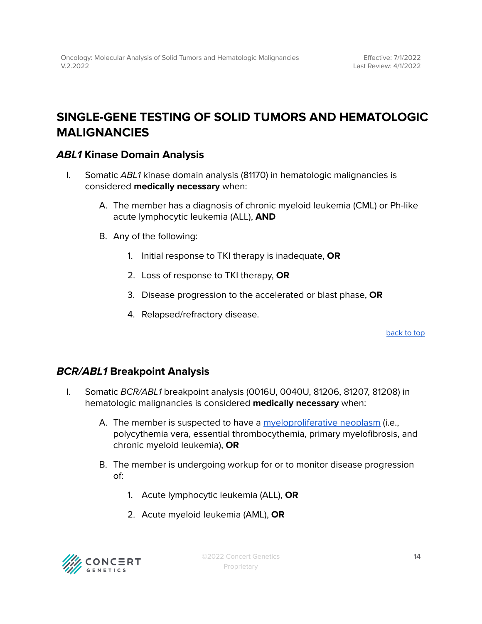## <span id="page-13-0"></span>**SINGLE-GENE TESTING OF SOLID TUMORS AND HEMATOLOGIC MALIGNANCIES**

## <span id="page-13-1"></span>**ABL1 Kinase Domain Analysis**

- I. Somatic ABL1 kinase domain analysis (81170) in hematologic malignancies is considered **medically necessary** when:
	- A. The member has a diagnosis of chronic myeloid leukemia (CML) or Ph-like acute lymphocytic leukemia (ALL), **AND**
	- B. Any of the following:
		- 1. Initial response to TKI therapy is inadequate, **OR**
		- 2. Loss of response to TKI therapy, **OR**
		- 3. Disease progression to the accelerated or blast phase, **OR**
		- 4. Relapsed/refractory disease.

[back](#page-1-0) to top

## <span id="page-13-2"></span>**BCR/ABL1 Breakpoint Analysis**

- I. Somatic BCR/ABL1 breakpoint analysis (0016U, 0040U, 81206, 81207, 81208) in hematologic malignancies is considered **medically necessary** when:
	- A. The member is suspected to have a [myeloproliferative](#page-24-0) neoplasm (i.e., polycythemia vera, essential thrombocythemia, primary myelofibrosis, and chronic myeloid leukemia), **OR**
	- B. The member is undergoing workup for or to monitor disease progression of:
		- 1. Acute lymphocytic leukemia (ALL), **OR**
		- 2. Acute myeloid leukemia (AML), **OR**

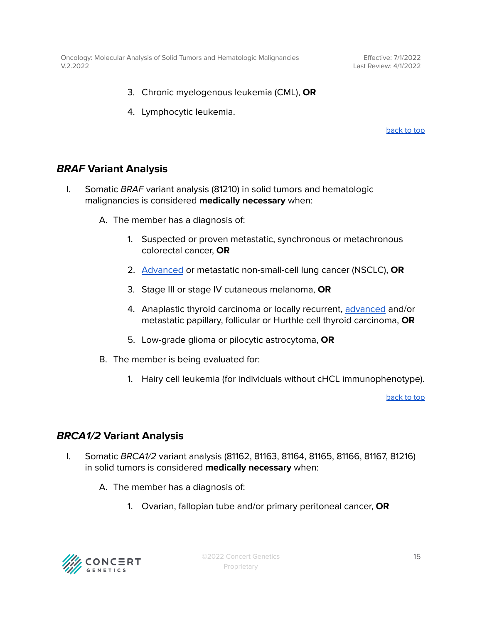Effective: 7/1/2022 Last Review: 4/1/2022

- 3. Chronic myelogenous leukemia (CML), **OR**
- 4. Lymphocytic leukemia.

[back](#page-1-0) to top

### <span id="page-14-0"></span>**BRAF Variant Analysis**

- I. Somatic BRAF variant analysis (81210) in solid tumors and hematologic malignancies is considered **medically necessary** when:
	- A. The member has a diagnosis of:
		- 1. Suspected or proven metastatic, synchronous or metachronous colorectal cancer, **OR**
		- 2. [Advanced](#page-24-0) or metastatic non-small-cell lung cancer (NSCLC), **OR**
		- 3. Stage III or stage IV cutaneous melanoma, **OR**
		- 4. Anaplastic thyroid carcinoma or locally recurrent, [advanced](#page-24-0) and/or metastatic papillary, follicular or Hurthle cell thyroid carcinoma, **OR**
		- 5. Low-grade glioma or pilocytic astrocytoma, **OR**
	- B. The member is being evaluated for:
		- 1. Hairy cell leukemia (for individuals without cHCL immunophenotype).

[back](#page-1-0) to top

### <span id="page-14-1"></span>**BRCA1/2 Variant Analysis**

- I. Somatic BRCA1/2 variant analysis (81162, 81163, 81164, 81165, 81166, 81167, 81216) in solid tumors is considered **medically necessary** when:
	- A. The member has a diagnosis of:
		- 1. Ovarian, fallopian tube and/or primary peritoneal cancer, **OR**

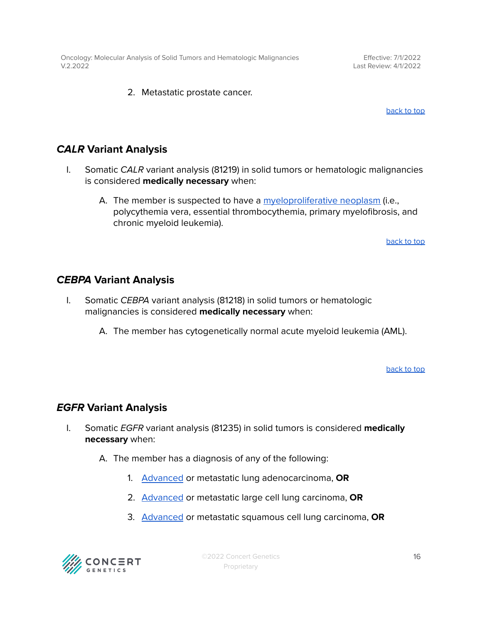Effective: 7/1/2022 Last Review: 4/1/2022

2. Metastatic prostate cancer.

[back](#page-1-0) to top

## <span id="page-15-0"></span>**CALR Variant Analysis**

- I. Somatic CALR variant analysis (81219) in solid tumors or hematologic malignancies is considered **medically necessary** when:
	- A. The member is suspected to have a [myeloproliferative](#page-24-0) neoplasm (i.e., polycythemia vera, essential thrombocythemia, primary myelofibrosis, and chronic myeloid leukemia).

[back](#page-1-0) to top

### <span id="page-15-1"></span>**CEBPA Variant Analysis**

- I. Somatic CEBPA variant analysis (81218) in solid tumors or hematologic malignancies is considered **medically necessary** when:
	- A. The member has cytogenetically normal acute myeloid leukemia (AML).

[back](#page-1-0) to top

### <span id="page-15-2"></span>**EGFR Variant Analysis**

- I. Somatic EGFR variant analysis (81235) in solid tumors is considered **medically necessary** when:
	- A. The member has a diagnosis of any of the following:
		- 1. [Advanced](#page-24-0) or metastatic lung adenocarcinoma, **OR**
		- 2. [Advanced](#page-24-0) or metastatic large cell lung carcinoma, **OR**
		- 3. [Advanced](#page-24-0) or metastatic squamous cell lung carcinoma, **OR**

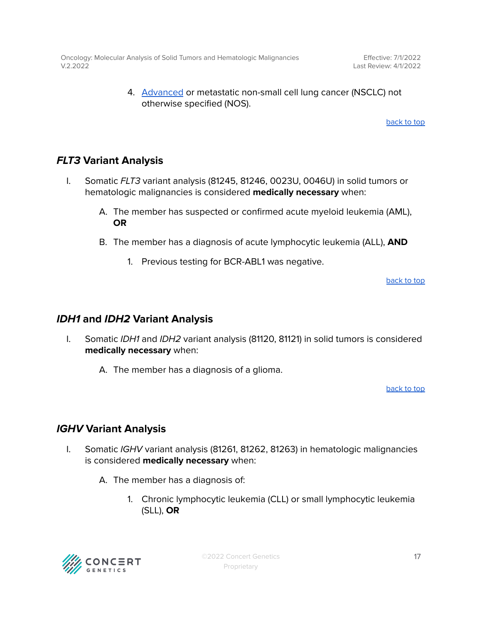Effective: 7/1/2022 Last Review: 4/1/2022

4. [Advanced](#page-24-0) or metastatic non-small cell lung cancer (NSCLC) not otherwise specified (NOS).

[back](#page-1-0) to top

## <span id="page-16-0"></span>**FLT3 Variant Analysis**

- I. Somatic FLT3 variant analysis (81245, 81246, 0023U, 0046U) in solid tumors or hematologic malignancies is considered **medically necessary** when:
	- A. The member has suspected or confirmed acute myeloid leukemia (AML), **OR**
	- B. The member has a diagnosis of acute lymphocytic leukemia (ALL), **AND**
		- 1. Previous testing for BCR-ABL1 was negative.

[back](#page-1-0) to top

### <span id="page-16-1"></span>**IDH1 and IDH2 Variant Analysis**

- I. Somatic IDH1 and IDH2 variant analysis (81120, 81121) in solid tumors is considered **medically necessary** when:
	- A. The member has a diagnosis of a glioma.

[back](#page-1-0) to top

### **IGHV Variant Analysis**

- I. Somatic IGHV variant analysis (81261, 81262, 81263) in hematologic malignancies is considered **medically necessary** when:
	- A. The member has a diagnosis of:
		- 1. Chronic lymphocytic leukemia (CLL) or small lymphocytic leukemia (SLL), **OR**

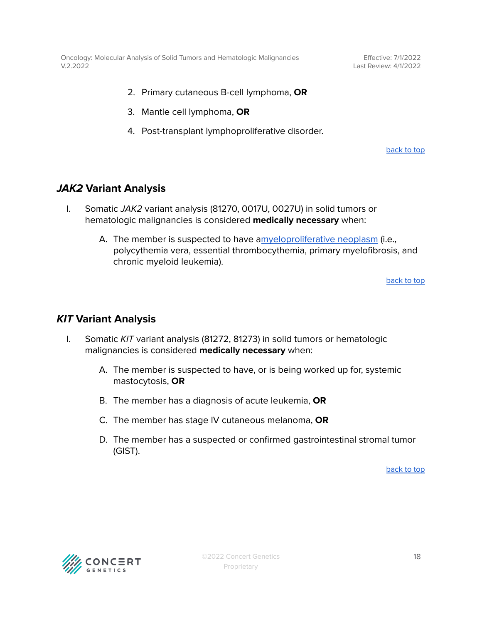Effective: 7/1/2022 Last Review: 4/1/2022

- 2. Primary cutaneous B-cell lymphoma, **OR**
- 3. Mantle cell lymphoma, **OR**
- 4. Post-transplant lymphoproliferative disorder.

[back](#page-1-0) to top

### <span id="page-17-0"></span>**JAK2 Variant Analysis**

- I. Somatic JAK2 variant analysis (81270, 0017U, 0027U) in solid tumors or hematologic malignancies is considered **medically necessary** when:
	- A. The member is suspected to have a[myeloproliferative](#page-24-0) neoplasm (i.e., polycythemia vera, essential thrombocythemia, primary myelofibrosis, and chronic myeloid leukemia).

[back](#page-1-0) to top

### <span id="page-17-1"></span>**KIT Variant Analysis**

- I. Somatic KIT variant analysis (81272, 81273) in solid tumors or hematologic malignancies is considered **medically necessary** when:
	- A. The member is suspected to have, or is being worked up for, systemic mastocytosis, **OR**
	- B. The member has a diagnosis of acute leukemia, **OR**
	- C. The member has stage IV cutaneous melanoma, **OR**
	- D. The member has a suspected or confirmed gastrointestinal stromal tumor (GIST).

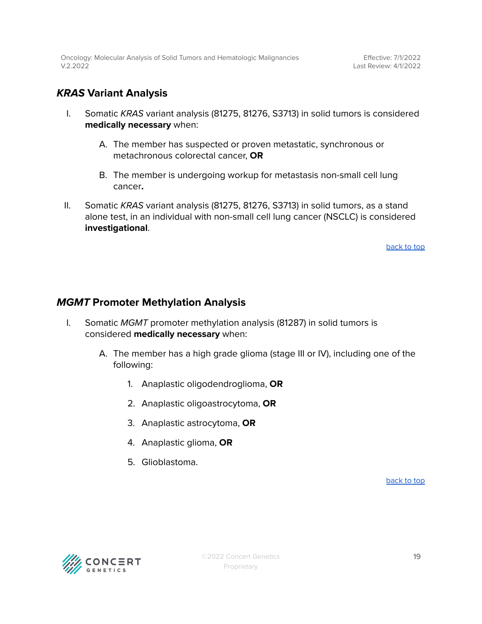## <span id="page-18-0"></span>**KRAS Variant Analysis**

- I. Somatic KRAS variant analysis (81275, 81276, S3713) in solid tumors is considered **medically necessary** when:
	- A. The member has suspected or proven metastatic, synchronous or metachronous colorectal cancer, **OR**
	- B. The member is undergoing workup for metastasis non-small cell lung cancer**.**
- II. Somatic KRAS variant analysis (81275, 81276, S3713) in solid tumors, as a stand alone test, in an individual with non-small cell lung cancer (NSCLC) is considered **investigational**.

[back](#page-1-0) to top

### <span id="page-18-1"></span>**MGMT Promoter Methylation Analysis**

- I. Somatic MGMT promoter methylation analysis (81287) in solid tumors is considered **medically necessary** when:
	- A. The member has a high grade glioma (stage III or IV), including one of the following:
		- 1. Anaplastic oligodendroglioma, **OR**
		- 2. Anaplastic oligoastrocytoma, **OR**
		- 3. Anaplastic astrocytoma, **OR**
		- 4. Anaplastic glioma, **OR**
		- 5. Glioblastoma.

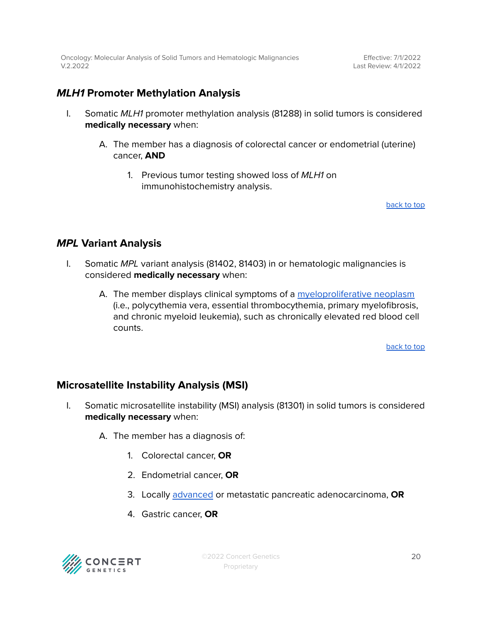## <span id="page-19-0"></span>**MLH1 Promoter Methylation Analysis**

- I. Somatic MLH1 promoter methylation analysis (81288) in solid tumors is considered **medically necessary** when:
	- A. The member has a diagnosis of colorectal cancer or endometrial (uterine) cancer, **AND**
		- 1. Previous tumor testing showed loss of MLH1 on immunohistochemistry analysis.

[back](#page-1-0) to top

## <span id="page-19-1"></span>**MPL Variant Analysis**

- I. Somatic MPL variant analysis (81402, 81403) in or hematologic malignancies is considered **medically necessary** when:
	- A. The member displays clinical symptoms of a [myeloproliferative](#page-24-0) neoplasm (i.e., polycythemia vera, essential thrombocythemia, primary myelofibrosis, and chronic myeloid leukemia), such as chronically elevated red blood cell counts.

[back](#page-1-0) to top

## <span id="page-19-2"></span>**Microsatellite Instability Analysis (MSI)**

- I. Somatic microsatellite instability (MSI) analysis (81301) in solid tumors is considered **medically necessary** when:
	- A. The member has a diagnosis of:
		- 1. Colorectal cancer, **OR**
		- 2. Endometrial cancer, **OR**
		- 3. Locally [advanced](#page-24-0) or metastatic pancreatic adenocarcinoma, **OR**
		- 4. Gastric cancer, **OR**

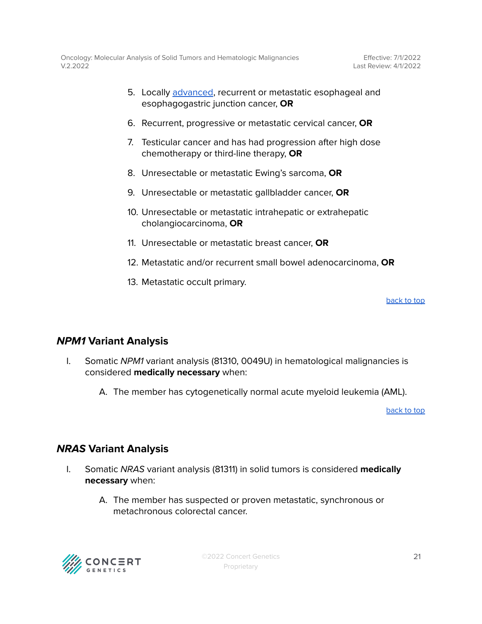- 5. Locally [advanced](#page-24-0), recurrent or metastatic esophageal and esophagogastric junction cancer, **OR**
- 6. Recurrent, progressive or metastatic cervical cancer, **OR**
- 7. Testicular cancer and has had progression after high dose chemotherapy or third-line therapy, **OR**
- 8. Unresectable or metastatic Ewing's sarcoma, **OR**
- 9. Unresectable or metastatic gallbladder cancer, **OR**
- 10. Unresectable or metastatic intrahepatic or extrahepatic cholangiocarcinoma, **OR**
- 11. Unresectable or metastatic breast cancer, **OR**
- 12. Metastatic and/or recurrent small bowel adenocarcinoma, **OR**
- 13. Metastatic occult primary.

[back](#page-1-0) to top

## <span id="page-20-0"></span>**NPM1 Variant Analysis**

- I. Somatic NPM1 variant analysis (81310, 0049U) in hematological malignancies is considered **medically necessary** when:
	- A. The member has cytogenetically normal acute myeloid leukemia (AML).

[back](#page-1-0) to top

## <span id="page-20-1"></span>**NRAS Variant Analysis**

- I. Somatic NRAS variant analysis (81311) in solid tumors is considered **medically necessary** when:
	- A. The member has suspected or proven metastatic, synchronous or metachronous colorectal cancer.

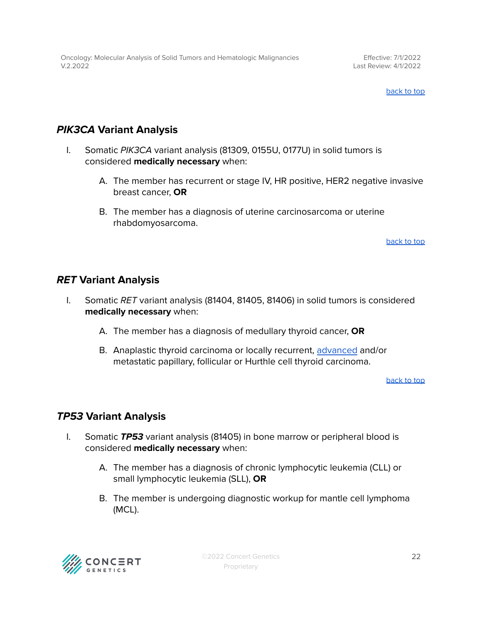#### [back](#page-1-0) to top

## <span id="page-21-0"></span>**PIK3CA Variant Analysis**

- I. Somatic PIK3CA variant analysis (81309, 0155U, 0177U) in solid tumors is considered **medically necessary** when:
	- A. The member has recurrent or stage IV, HR positive, HER2 negative invasive breast cancer, **OR**
	- B. The member has a diagnosis of uterine carcinosarcoma or uterine rhabdomyosarcoma.

[back](#page-1-0) to top

### <span id="page-21-1"></span>**RET Variant Analysis**

- I. Somatic RET variant analysis (81404, 81405, 81406) in solid tumors is considered **medically necessary** when:
	- A. The member has a diagnosis of medullary thyroid cancer, **OR**
	- B. Anaplastic thyroid carcinoma or locally recurrent, [advanced](#page-24-0) and/or metastatic papillary, follicular or Hurthle cell thyroid carcinoma.

[back](#page-1-0) to top

## <span id="page-21-2"></span>**TP53 Variant Analysis**

- I. Somatic **TP53** variant analysis (81405) in bone marrow or peripheral blood is considered **medically necessary** when:
	- A. The member has a diagnosis of chronic lymphocytic leukemia (CLL) or small lymphocytic leukemia (SLL), **OR**
	- B. The member is undergoing diagnostic workup for mantle cell lymphoma (MCL).

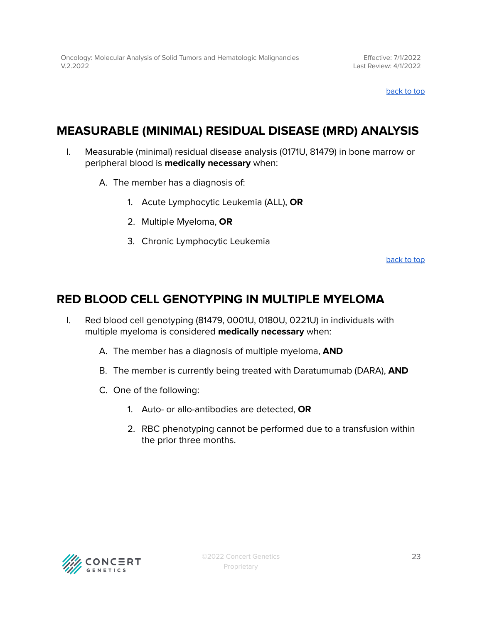Effective: 7/1/2022 Last Review: 4/1/2022

[back](#page-1-0) to top

## <span id="page-22-0"></span>**MEASURABLE (MINIMAL) RESIDUAL DISEASE (MRD) ANALYSIS**

- I. Measurable (minimal) residual disease analysis (0171U, 81479) in bone marrow or peripheral blood is **medically necessary** when:
	- A. The member has a diagnosis of:
		- 1. Acute Lymphocytic Leukemia (ALL), **OR**
		- 2. Multiple Myeloma, **OR**
		- 3. Chronic Lymphocytic Leukemia

[back](#page-1-0) to top

## <span id="page-22-1"></span>**RED BLOOD CELL GENOTYPING IN MULTIPLE MYELOMA**

- I. Red blood cell genotyping (81479, 0001U, 0180U, 0221U) in individuals with multiple myeloma is considered **medically necessary** when:
	- A. The member has a diagnosis of multiple myeloma, **AND**
	- B. The member is currently being treated with Daratumumab (DARA), **AND**
	- C. One of the following:
		- 1. Auto- or allo-antibodies are detected, **OR**
		- 2. RBC phenotyping cannot be performed due to a transfusion within the prior three months.

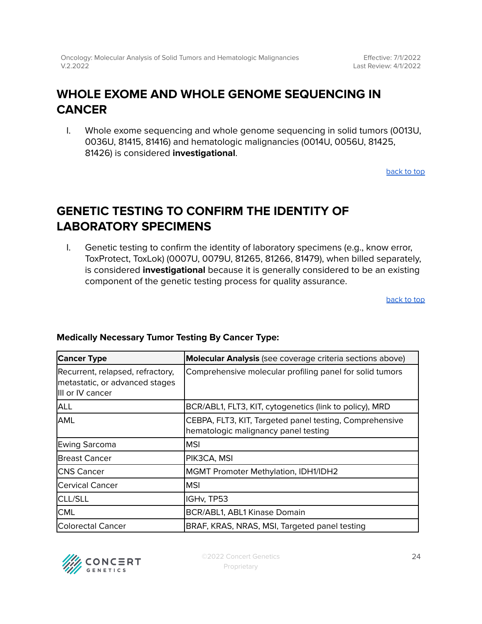## <span id="page-23-0"></span>**WHOLE EXOME AND WHOLE GENOME SEQUENCING IN CANCER**

I. Whole exome sequencing and whole genome sequencing in solid tumors (0013U, 0036U, 81415, 81416) and hematologic malignancies (0014U, 0056U, 81425, 81426) is considered **investigational**.

[back](#page-1-0) to top

## <span id="page-23-1"></span>**GENETIC TESTING TO CONFIRM THE IDENTITY OF LABORATORY SPECIMENS**

I. Genetic testing to confirm the identity of laboratory specimens (e.g., know error, ToxProtect, ToxLok) (0007U, 0079U, 81265, 81266, 81479), when billed separately, is considered **investigational** because it is generally considered to be an existing component of the genetic testing process for quality assurance.

[back](#page-1-0) to top

| <b>Cancer Type</b>                                                                      | Molecular Analysis (see coverage criteria sections above)                                       |
|-----------------------------------------------------------------------------------------|-------------------------------------------------------------------------------------------------|
| Recurrent, relapsed, refractory,<br>metastatic, or advanced stages<br>IIII or IV cancer | Comprehensive molecular profiling panel for solid tumors                                        |
| <b>ALL</b>                                                                              | BCR/ABL1, FLT3, KIT, cytogenetics (link to policy), MRD                                         |
| <b>AML</b>                                                                              | CEBPA, FLT3, KIT, Targeted panel testing, Comprehensive<br>hematologic malignancy panel testing |
| Ewing Sarcoma                                                                           | <b>MSI</b>                                                                                      |
| Breast Cancer                                                                           | PIK3CA, MSI                                                                                     |
| ICNS Cancer                                                                             | <b>MGMT Promoter Methylation, IDH1/IDH2</b>                                                     |
| Cervical Cancer                                                                         | <b>MSI</b>                                                                                      |
| <b>CLL/SLL</b>                                                                          | IGH <sub>v</sub> , TP53                                                                         |
| <b>CML</b>                                                                              | BCR/ABL1, ABL1 Kinase Domain                                                                    |
| <b>Colorectal Cancer</b>                                                                | BRAF, KRAS, NRAS, MSI, Targeted panel testing                                                   |

### **Medically Necessary Tumor Testing By Cancer Type:**

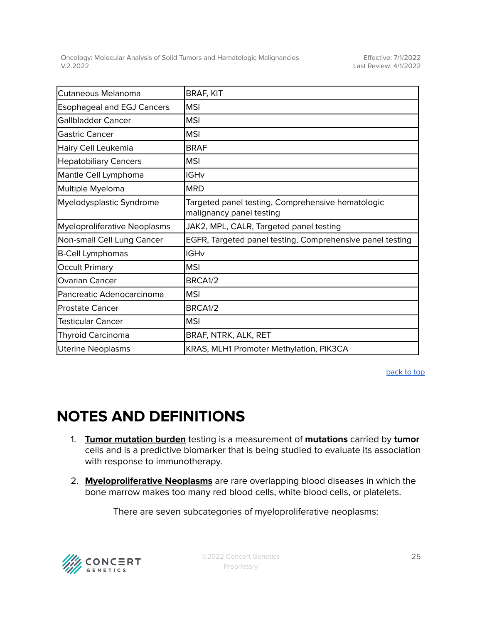| Cutaneous Melanoma                | <b>BRAF, KIT</b>                                                              |
|-----------------------------------|-------------------------------------------------------------------------------|
| <b>Esophageal and EGJ Cancers</b> | <b>MSI</b>                                                                    |
| Gallbladder Cancer                | <b>MSI</b>                                                                    |
| Gastric Cancer                    | <b>MSI</b>                                                                    |
| Hairy Cell Leukemia               | <b>BRAF</b>                                                                   |
| <b>Hepatobiliary Cancers</b>      | <b>MSI</b>                                                                    |
| Mantle Cell Lymphoma              | <b>IGH<sub>v</sub></b>                                                        |
| Multiple Myeloma                  | <b>MRD</b>                                                                    |
| Myelodysplastic Syndrome          | Targeted panel testing, Comprehensive hematologic<br>malignancy panel testing |
| Myeloproliferative Neoplasms      | JAK2, MPL, CALR, Targeted panel testing                                       |
| Non-small Cell Lung Cancer        | EGFR, Targeted panel testing, Comprehensive panel testing                     |
| B-Cell Lymphomas                  | <b>IGH<sub>v</sub></b>                                                        |
| <b>Occult Primary</b>             | <b>MSI</b>                                                                    |
| <b>Ovarian Cancer</b>             | BRCA1/2                                                                       |
| Pancreatic Adenocarcinoma         | <b>MSI</b>                                                                    |
| Prostate Cancer                   | BRCA1/2                                                                       |
| <b>Testicular Cancer</b>          | <b>MSI</b>                                                                    |
| <b>Thyroid Carcinoma</b>          | BRAF, NTRK, ALK, RET                                                          |
| <b>Uterine Neoplasms</b>          | KRAS, MLH1 Promoter Methylation, PIK3CA                                       |

[back](#page-1-0) to top

## <span id="page-24-0"></span>**NOTES AND DEFINITIONS**

- 1. **Tumor mutation burden** testing is a measurement of **mutations** carried by **tumor** cells and is a predictive biomarker that is being studied to evaluate its association with response to immunotherapy.
- 2. **Myeloproliferative Neoplasms** are rare overlapping blood diseases in which the bone marrow makes too many red blood cells, white blood cells, or platelets.

There are seven subcategories of myeloproliferative neoplasms:

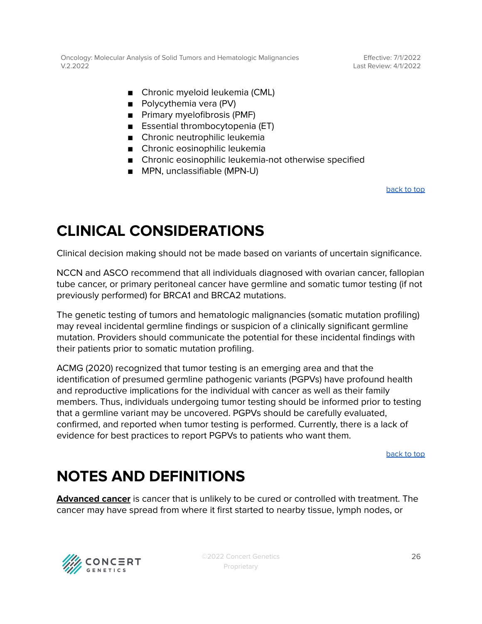Effective: 7/1/2022 Last Review: 4/1/2022

- Chronic myeloid leukemia (CML)
- Polycythemia vera (PV)
- Primary myelofibrosis (PMF)
- Essential thrombocytopenia (ET)
- Chronic neutrophilic leukemia
- Chronic eosinophilic leukemia
- Chronic eosinophilic leukemia-not otherwise specified
- MPN, unclassifiable (MPN-U)

[back](#page-1-0) to top

## **CLINICAL CONSIDERATIONS**

Clinical decision making should not be made based on variants of uncertain significance.

NCCN and ASCO recommend that all individuals diagnosed with ovarian cancer, fallopian tube cancer, or primary peritoneal cancer have germline and somatic tumor testing (if not previously performed) for BRCA1 and BRCA2 mutations.

The genetic testing of tumors and hematologic malignancies (somatic mutation profiling) may reveal incidental germline findings or suspicion of a clinically significant germline mutation. Providers should communicate the potential for these incidental findings with their patients prior to somatic mutation profiling.

ACMG (2020) recognized that tumor testing is an emerging area and that the identification of presumed germline pathogenic variants (PGPVs) have profound health and reproductive implications for the individual with cancer as well as their family members. Thus, individuals undergoing tumor testing should be informed prior to testing that a germline variant may be uncovered. PGPVs should be carefully evaluated, confirmed, and reported when tumor testing is performed. Currently, there is a lack of evidence for best practices to report PGPVs to patients who want them.

[back](#page-1-0) to top

## **NOTES AND DEFINITIONS**

**Advanced cancer** is cancer that is unlikely to be cured or controlled with treatment. The cancer may have spread from where it first started to nearby tissue, lymph nodes, or

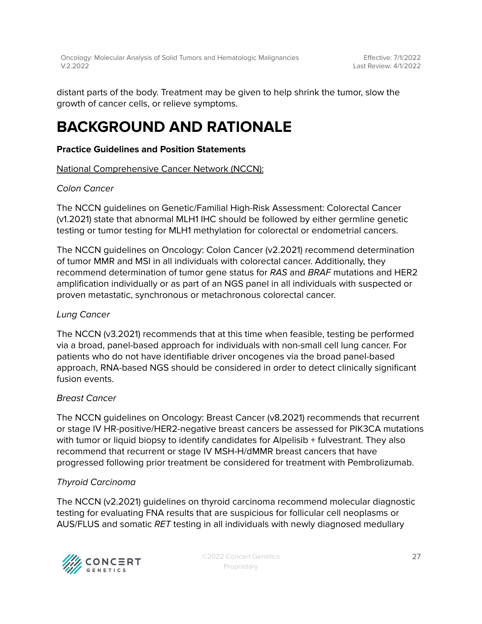distant parts of the body. Treatment may be given to help shrink the tumor, slow the growth of cancer cells, or relieve symptoms.

## **BACKGROUND AND RATIONALE**

### **Practice Guidelines and Position Statements**

### National Comprehensive Cancer Network (NCCN):

### Colon Cancer

The NCCN guidelines on Genetic/Familial High-Risk Assessment: Colorectal Cancer (v1.2021) state that abnormal MLH1 IHC should be followed by either germline genetic testing or tumor testing for MLH1 methylation for colorectal or endometrial cancers.

The NCCN guidelines on Oncology: Colon Cancer (v2.2021) recommend determination of tumor MMR and MSI in all individuals with colorectal cancer. Additionally, they recommend determination of tumor gene status for RAS and BRAF mutations and HER2 amplification individually or as part of an NGS panel in all individuals with suspected or proven metastatic, synchronous or metachronous colorectal cancer.

### Lung Cancer

The NCCN (v3.2021) recommends that at this time when feasible, testing be performed via a broad, panel-based approach for individuals with non-small cell lung cancer. For patients who do not have identifiable driver oncogenes via the broad panel-based approach, RNA-based NGS should be considered in order to detect clinically significant fusion events.

### Breast Cancer

The NCCN guidelines on Oncology: Breast Cancer (v8.2021) recommends that recurrent or stage IV HR-positive/HER2-negative breast cancers be assessed for PIK3CA mutations with tumor or liquid biopsy to identify candidates for Alpelisib + fulvestrant. They also recommend that recurrent or stage IV MSH-H/dMMR breast cancers that have progressed following prior treatment be considered for treatment with Pembrolizumab.

### Thyroid Carcinoma

The NCCN (v2.2021) guidelines on thyroid carcinoma recommend molecular diagnostic testing for evaluating FNA results that are suspicious for follicular cell neoplasms or AUS/FLUS and somatic RET testing in all individuals with newly diagnosed medullary

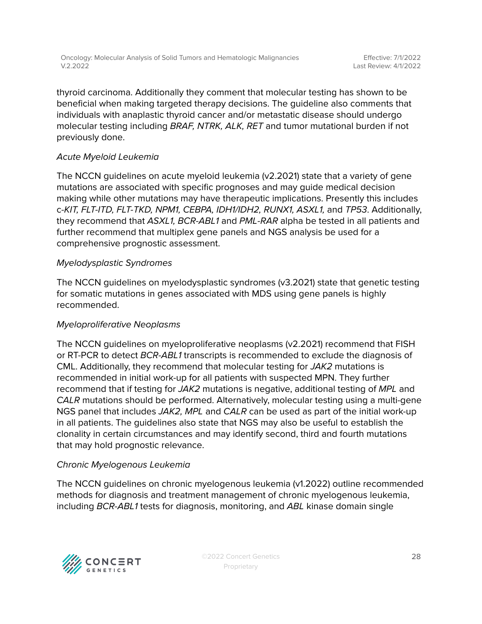thyroid carcinoma. Additionally they comment that molecular testing has shown to be beneficial when making targeted therapy decisions. The guideline also comments that individuals with anaplastic thyroid cancer and/or metastatic disease should undergo molecular testing including BRAF, NTRK, ALK, RET and tumor mutational burden if not previously done.

### Acute Myeloid Leukemia

The NCCN guidelines on acute myeloid leukemia (v2.2021) state that a variety of gene mutations are associated with specific prognoses and may guide medical decision making while other mutations may have therapeutic implications. Presently this includes c-KIT, FLT-ITD, FLT-TKD, NPM1, CEBPA, IDH1/IDH2, RUNX1, ASXL1, and TP53. Additionally, they recommend that ASXL1, BCR-ABL1 and PML-RAR alpha be tested in all patients and further recommend that multiplex gene panels and NGS analysis be used for a comprehensive prognostic assessment.

### Myelodysplastic Syndromes

The NCCN guidelines on myelodysplastic syndromes (v3.2021) state that genetic testing for somatic mutations in genes associated with MDS using gene panels is highly recommended.

### Myeloproliferative Neoplasms

The NCCN guidelines on myeloproliferative neoplasms (v2.2021) recommend that FISH or RT-PCR to detect BCR-ABL1 transcripts is recommended to exclude the diagnosis of CML. Additionally, they recommend that molecular testing for JAK2 mutations is recommended in initial work-up for all patients with suspected MPN. They further recommend that if testing for JAK2 mutations is negative, additional testing of MPL and CALR mutations should be performed. Alternatively, molecular testing using a multi-gene NGS panel that includes JAK2, MPL and CALR can be used as part of the initial work-up in all patients. The guidelines also state that NGS may also be useful to establish the clonality in certain circumstances and may identify second, third and fourth mutations that may hold prognostic relevance.

### Chronic Myelogenous Leukemia

The NCCN guidelines on chronic myelogenous leukemia (v1.2022) outline recommended methods for diagnosis and treatment management of chronic myelogenous leukemia, including BCR-ABL1 tests for diagnosis, monitoring, and ABL kinase domain single

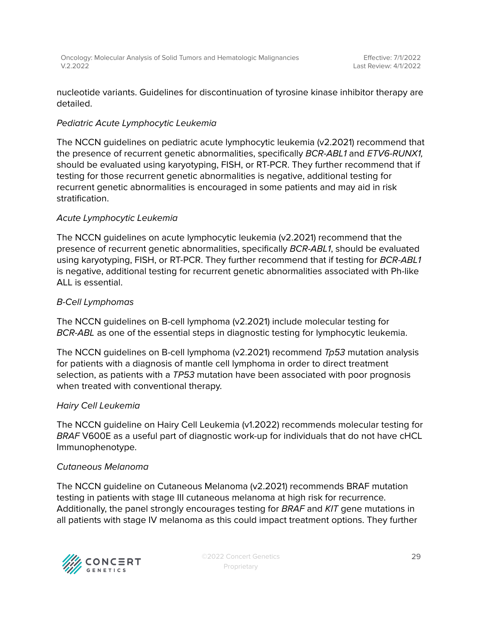nucleotide variants. Guidelines for discontinuation of tyrosine kinase inhibitor therapy are detailed.

### Pediatric Acute Lymphocytic Leukemia

The NCCN guidelines on pediatric acute lymphocytic leukemia (v2.2021) recommend that the presence of recurrent genetic abnormalities, specifically BCR-ABL1 and ETV6-RUNX1, should be evaluated using karyotyping, FISH, or RT-PCR. They further recommend that if testing for those recurrent genetic abnormalities is negative, additional testing for recurrent genetic abnormalities is encouraged in some patients and may aid in risk stratification.

### Acute Lymphocytic Leukemia

The NCCN guidelines on acute lymphocytic leukemia (v2.2021) recommend that the presence of recurrent genetic abnormalities, specifically BCR-ABL1, should be evaluated using karyotyping, FISH, or RT-PCR. They further recommend that if testing for BCR-ABL1 is negative, additional testing for recurrent genetic abnormalities associated with Ph-like ALL is essential.

### B-Cell Lymphomas

The NCCN guidelines on B-cell lymphoma (v2.2021) include molecular testing for BCR-ABL as one of the essential steps in diagnostic testing for lymphocytic leukemia.

The NCCN guidelines on B-cell lymphoma (v2.2021) recommend Tp53 mutation analysis for patients with a diagnosis of mantle cell lymphoma in order to direct treatment selection, as patients with a TP53 mutation have been associated with poor prognosis when treated with conventional therapy.

#### Hairy Cell Leukemia

The NCCN guideline on Hairy Cell Leukemia (v1.2022) recommends molecular testing for BRAF V600E as a useful part of diagnostic work-up for individuals that do not have cHCL Immunophenotype.

#### Cutaneous Melanoma

The NCCN guideline on Cutaneous Melanoma (v2.2021) recommends BRAF mutation testing in patients with stage III cutaneous melanoma at high risk for recurrence. Additionally, the panel strongly encourages testing for BRAF and KIT gene mutations in all patients with stage IV melanoma as this could impact treatment options. They further

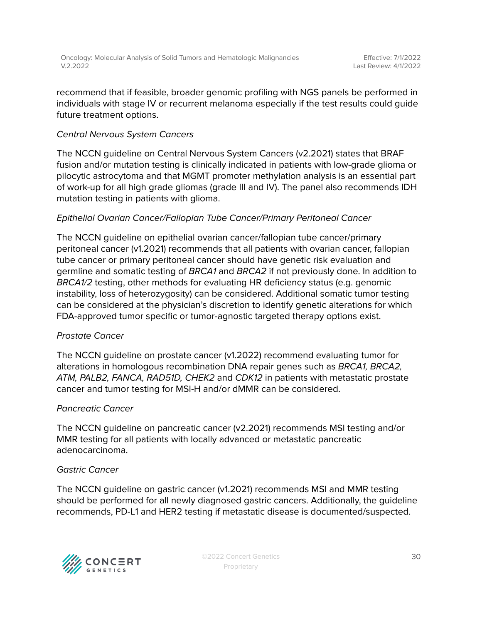recommend that if feasible, broader genomic profiling with NGS panels be performed in individuals with stage IV or recurrent melanoma especially if the test results could guide future treatment options.

### Central Nervous System Cancers

The NCCN guideline on Central Nervous System Cancers (v2.2021) states that BRAF fusion and/or mutation testing is clinically indicated in patients with low-grade glioma or pilocytic astrocytoma and that MGMT promoter methylation analysis is an essential part of work-up for all high grade gliomas (grade III and IV). The panel also recommends IDH mutation testing in patients with glioma.

### Epithelial Ovarian Cancer/Fallopian Tube Cancer/Primary Peritoneal Cancer

The NCCN guideline on epithelial ovarian cancer/fallopian tube cancer/primary peritoneal cancer (v1.2021) recommends that all patients with ovarian cancer, fallopian tube cancer or primary peritoneal cancer should have genetic risk evaluation and germline and somatic testing of BRCA1 and BRCA2 if not previously done. In addition to BRCA1/2 testing, other methods for evaluating HR deficiency status (e.g. genomic instability, loss of heterozygosity) can be considered. Additional somatic tumor testing can be considered at the physician's discretion to identify genetic alterations for which FDA-approved tumor specific or tumor-agnostic targeted therapy options exist.

### Prostate Cancer

The NCCN guideline on prostate cancer (v1.2022) recommend evaluating tumor for alterations in homologous recombination DNA repair genes such as BRCA1, BRCA2, ATM, PALB2, FANCA, RAD51D, CHEK2 and CDK12 in patients with metastatic prostate cancer and tumor testing for MSI-H and/or dMMR can be considered.

### Pancreatic Cancer

The NCCN guideline on pancreatic cancer (v2.2021) recommends MSI testing and/or MMR testing for all patients with locally advanced or metastatic pancreatic adenocarcinoma.

### Gastric Cancer

The NCCN guideline on gastric cancer (v1.2021) recommends MSI and MMR testing should be performed for all newly diagnosed gastric cancers. Additionally, the guideline recommends, PD-L1 and HER2 testing if metastatic disease is documented/suspected.

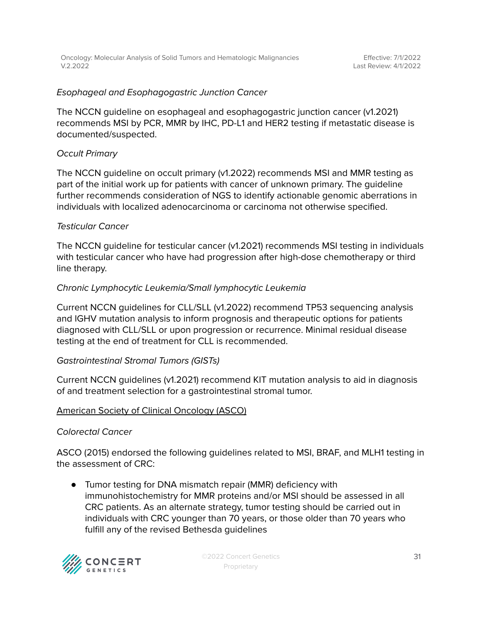### Esophageal and Esophagogastric Junction Cancer

The NCCN guideline on esophageal and esophagogastric junction cancer (v1.2021) recommends MSI by PCR, MMR by IHC, PD-L1 and HER2 testing if metastatic disease is documented/suspected.

### Occult Primary

The NCCN guideline on occult primary (v1.2022) recommends MSI and MMR testing as part of the initial work up for patients with cancer of unknown primary. The guideline further recommends consideration of NGS to identify actionable genomic aberrations in individuals with localized adenocarcinoma or carcinoma not otherwise specified.

#### Testicular Cancer

The NCCN guideline for testicular cancer (v1.2021) recommends MSI testing in individuals with testicular cancer who have had progression after high-dose chemotherapy or third line therapy.

### Chronic Lymphocytic Leukemia/Small lymphocytic Leukemia

Current NCCN guidelines for CLL/SLL (v1.2022) recommend TP53 sequencing analysis and IGHV mutation analysis to inform prognosis and therapeutic options for patients diagnosed with CLL/SLL or upon progression or recurrence. Minimal residual disease testing at the end of treatment for CLL is recommended.

#### Gastrointestinal Stromal Tumors (GISTs)

Current NCCN guidelines (v1.2021) recommend KIT mutation analysis to aid in diagnosis of and treatment selection for a gastrointestinal stromal tumor.

#### American Society of Clinical Oncology (ASCO)

#### Colorectal Cancer

ASCO (2015) endorsed the following guidelines related to MSI, BRAF, and MLH1 testing in the assessment of CRC:

● Tumor testing for DNA mismatch repair (MMR) deficiency with immunohistochemistry for MMR proteins and/or MSI should be assessed in all CRC patients. As an alternate strategy, tumor testing should be carried out in individuals with CRC younger than 70 years, or those older than 70 years who fulfill any of the revised Bethesda guidelines

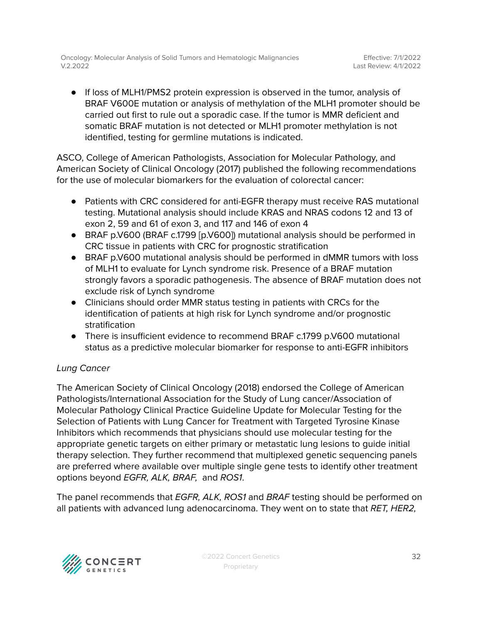● If loss of MLH1/PMS2 protein expression is observed in the tumor, analysis of BRAF V600E mutation or analysis of methylation of the MLH1 promoter should be carried out first to rule out a sporadic case. If the tumor is MMR deficient and somatic BRAF mutation is not detected or MLH1 promoter methylation is not identified, testing for germline mutations is indicated.

ASCO, College of American Pathologists, Association for Molecular Pathology, and American Society of Clinical Oncology (2017) published the following recommendations for the use of molecular biomarkers for the evaluation of colorectal cancer:

- Patients with CRC considered for anti-EGFR therapy must receive RAS mutational testing. Mutational analysis should include KRAS and NRAS codons 12 and 13 of exon 2, 59 and 61 of exon 3, and 117 and 146 of exon 4
- BRAF p.V600 (BRAF c.1799 [p.V600]) mutational analysis should be performed in CRC tissue in patients with CRC for prognostic stratification
- BRAF p.V600 mutational analysis should be performed in dMMR tumors with loss of MLH1 to evaluate for Lynch syndrome risk. Presence of a BRAF mutation strongly favors a sporadic pathogenesis. The absence of BRAF mutation does not exclude risk of Lynch syndrome
- Clinicians should order MMR status testing in patients with CRCs for the identification of patients at high risk for Lynch syndrome and/or prognostic stratification
- There is insufficient evidence to recommend BRAF c.1799 p.V600 mutational status as a predictive molecular biomarker for response to anti-EGFR inhibitors

### Lung Cancer

The American Society of Clinical Oncology (2018) endorsed the College of American Pathologists/International Association for the Study of Lung cancer/Association of Molecular Pathology Clinical Practice Guideline Update for Molecular Testing for the Selection of Patients with Lung Cancer for Treatment with Targeted Tyrosine Kinase Inhibitors which recommends that physicians should use molecular testing for the appropriate genetic targets on either primary or metastatic lung lesions to guide initial therapy selection. They further recommend that multiplexed genetic sequencing panels are preferred where available over multiple single gene tests to identify other treatment options beyond EGFR, ALK, BRAF, and ROS1.

The panel recommends that *EGFR, ALK, ROS1* and *BRAF* testing should be performed on all patients with advanced lung adenocarcinoma. They went on to state that RET, HER2,

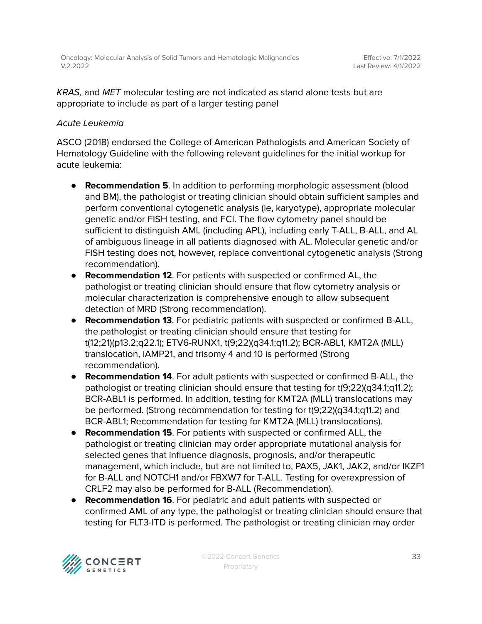KRAS, and MET molecular testing are not indicated as stand alone tests but are appropriate to include as part of a larger testing panel

### Acute Leukemia

ASCO (2018) endorsed the College of American Pathologists and American Society of Hematology Guideline with the following relevant guidelines for the initial workup for acute leukemia:

- **Recommendation 5**. In addition to performing morphologic assessment (blood and BM), the pathologist or treating clinician should obtain sufficient samples and perform conventional cytogenetic analysis (ie, karyotype), appropriate molecular genetic and/or FISH testing, and FCI. The flow cytometry panel should be sufficient to distinguish AML (including APL), including early T-ALL, B-ALL, and AL of ambiguous lineage in all patients diagnosed with AL. Molecular genetic and/or FISH testing does not, however, replace conventional cytogenetic analysis (Strong recommendation).
- **Recommendation 12**. For patients with suspected or confirmed AL, the pathologist or treating clinician should ensure that flow cytometry analysis or molecular characterization is comprehensive enough to allow subsequent detection of MRD (Strong recommendation).
- **Recommendation 13**. For pediatric patients with suspected or confirmed B-ALL, the pathologist or treating clinician should ensure that testing for t(12;21)(p13.2;q22.1); ETV6-RUNX1, t(9;22)(q34.1;q11.2); BCR-ABL1, KMT2A (MLL) translocation, iAMP21, and trisomy 4 and 10 is performed (Strong recommendation).
- **Recommendation 14**. For adult patients with suspected or confirmed B-ALL, the pathologist or treating clinician should ensure that testing for t(9;22)(q34.1;q11.2); BCR-ABL1 is performed. In addition, testing for KMT2A (MLL) translocations may be performed. (Strong recommendation for testing for t(9;22)(q34.1;q11.2) and BCR-ABL1; Recommendation for testing for KMT2A (MLL) translocations).
- **Recommendation 15**. For patients with suspected or confirmed ALL, the pathologist or treating clinician may order appropriate mutational analysis for selected genes that influence diagnosis, prognosis, and/or therapeutic management, which include, but are not limited to, PAX5, JAK1, JAK2, and/or IKZF1 for B-ALL and NOTCH1 and/or FBXW7 for T-ALL. Testing for overexpression of CRLF2 may also be performed for B-ALL (Recommendation).
- **Recommendation 16**. For pediatric and adult patients with suspected or confirmed AML of any type, the pathologist or treating clinician should ensure that testing for FLT3-ITD is performed. The pathologist or treating clinician may order

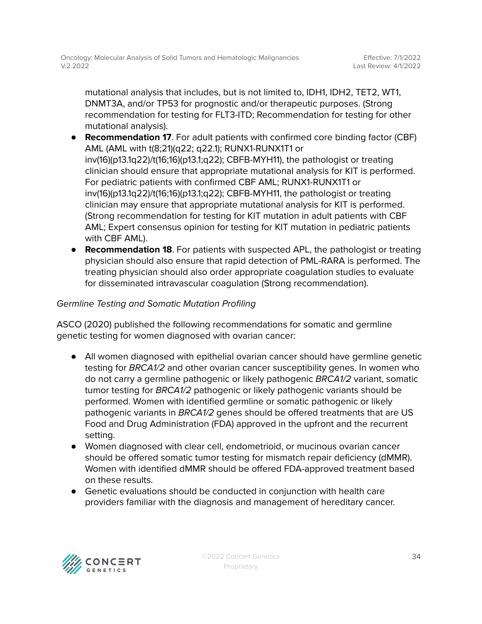mutational analysis that includes, but is not limited to, IDH1, IDH2, TET2, WT1, DNMT3A, and/or TP53 for prognostic and/or therapeutic purposes. (Strong recommendation for testing for FLT3-ITD; Recommendation for testing for other mutational analysis).

- **Recommendation 17**. For adult patients with confirmed core binding factor (CBF) AML (AML with t(8;21)(q22; q22.1); RUNX1-RUNX1T1 or inv(16)(p13.1q22)/t(16;16)(p13.1;q22); CBFB-MYH11), the pathologist or treating clinician should ensure that appropriate mutational analysis for KIT is performed. For pediatric patients with confirmed CBF AML; RUNX1-RUNX1T1 or inv(16)(p13.1q22)/t(16;16)(p13.1;q22); CBFB-MYH11, the pathologist or treating clinician may ensure that appropriate mutational analysis for KIT is performed. (Strong recommendation for testing for KIT mutation in adult patients with CBF AML; Expert consensus opinion for testing for KIT mutation in pediatric patients with CBF AML).
- **Recommendation 18**. For patients with suspected APL, the pathologist or treating physician should also ensure that rapid detection of PML-RARA is performed. The treating physician should also order appropriate coagulation studies to evaluate for disseminated intravascular coagulation (Strong recommendation).

### Germline Testing and Somatic Mutation Profiling

ASCO (2020) published the following recommendations for somatic and germline genetic testing for women diagnosed with ovarian cancer:

- All women diagnosed with epithelial ovarian cancer should have germline genetic testing for BRCA1/2 and other ovarian cancer susceptibility genes. In women who do not carry a germline pathogenic or likely pathogenic BRCA1/2 variant, somatic tumor testing for BRCA1/2 pathogenic or likely pathogenic variants should be performed. Women with identified germline or somatic pathogenic or likely pathogenic variants in BRCA1/2 genes should be offered treatments that are US Food and Drug Administration (FDA) approved in the upfront and the recurrent setting.
- Women diagnosed with clear cell, endometrioid, or mucinous ovarian cancer should be offered somatic tumor testing for mismatch repair deficiency (dMMR). Women with identified dMMR should be offered FDA-approved treatment based on these results.
- Genetic evaluations should be conducted in conjunction with health care providers familiar with the diagnosis and management of hereditary cancer.

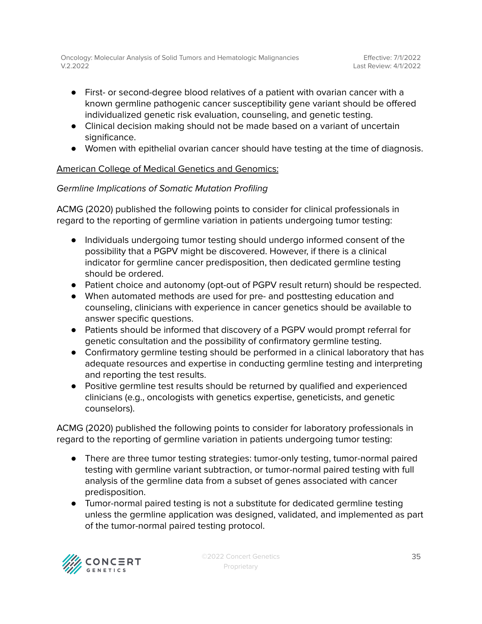- First- or second-degree blood relatives of a patient with ovarian cancer with a known germline pathogenic cancer susceptibility gene variant should be offered individualized genetic risk evaluation, counseling, and genetic testing.
- Clinical decision making should not be made based on a variant of uncertain significance.
- Women with epithelial ovarian cancer should have testing at the time of diagnosis.

### American College of Medical Genetics and Genomics:

### Germline Implications of Somatic Mutation Profiling

ACMG (2020) published the following points to consider for clinical professionals in regard to the reporting of germline variation in patients undergoing tumor testing:

- Individuals undergoing tumor testing should undergo informed consent of the possibility that a PGPV might be discovered. However, if there is a clinical indicator for germline cancer predisposition, then dedicated germline testing should be ordered.
- Patient choice and autonomy (opt-out of PGPV result return) should be respected.
- When automated methods are used for pre- and posttesting education and counseling, clinicians with experience in cancer genetics should be available to answer specific questions.
- Patients should be informed that discovery of a PGPV would prompt referral for genetic consultation and the possibility of confirmatory germline testing.
- Confirmatory germline testing should be performed in a clinical laboratory that has adequate resources and expertise in conducting germline testing and interpreting and reporting the test results.
- Positive germline test results should be returned by qualified and experienced clinicians (e.g., oncologists with genetics expertise, geneticists, and genetic counselors).

ACMG (2020) published the following points to consider for laboratory professionals in regard to the reporting of germline variation in patients undergoing tumor testing:

- There are three tumor testing strategies: tumor-only testing, tumor-normal paired testing with germline variant subtraction, or tumor-normal paired testing with full analysis of the germline data from a subset of genes associated with cancer predisposition.
- Tumor-normal paired testing is not a substitute for dedicated germline testing unless the germline application was designed, validated, and implemented as part of the tumor-normal paired testing protocol.

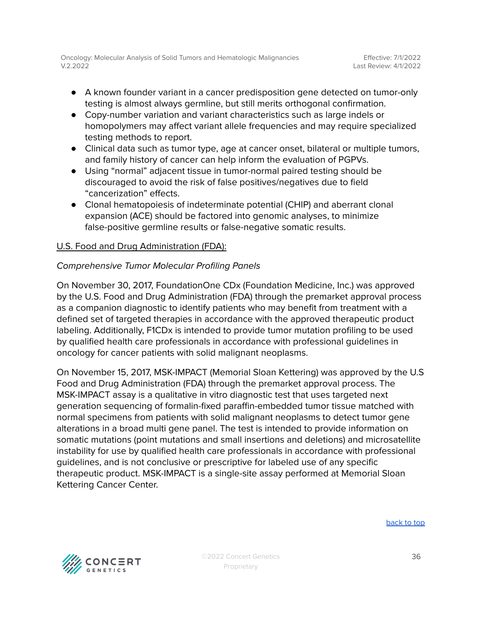- A known founder variant in a cancer predisposition gene detected on tumor-only testing is almost always germline, but still merits orthogonal confirmation.
- Copy-number variation and variant characteristics such as large indels or homopolymers may affect variant allele frequencies and may require specialized testing methods to report.
- Clinical data such as tumor type, age at cancer onset, bilateral or multiple tumors, and family history of cancer can help inform the evaluation of PGPVs.
- Using "normal" adjacent tissue in tumor-normal paired testing should be discouraged to avoid the risk of false positives/negatives due to field "cancerization" effects.
- Clonal hematopoiesis of indeterminate potential (CHIP) and aberrant clonal expansion (ACE) should be factored into genomic analyses, to minimize false-positive germline results or false-negative somatic results.

### U.S. Food and Drug Administration (FDA):

### Comprehensive Tumor Molecular Profiling Panels

On November 30, 2017, FoundationOne CDx (Foundation Medicine, Inc.) was approved by the U.S. Food and Drug Administration (FDA) through the premarket approval process as a companion diagnostic to identify patients who may benefit from treatment with a defined set of targeted therapies in accordance with the approved therapeutic product labeling. Additionally, F1CDx is intended to provide tumor mutation profiling to be used by qualified health care professionals in accordance with professional guidelines in oncology for cancer patients with solid malignant neoplasms.

On November 15, 2017, MSK-IMPACT (Memorial Sloan Kettering) was approved by the U.S Food and Drug Administration (FDA) through the premarket approval process. The MSK-IMPACT assay is a qualitative in vitro diagnostic test that uses targeted next generation sequencing of formalin-fixed paraffin-embedded tumor tissue matched with normal specimens from patients with solid malignant neoplasms to detect tumor gene alterations in a broad multi gene panel. The test is intended to provide information on somatic mutations (point mutations and small insertions and deletions) and microsatellite instability for use by qualified health care professionals in accordance with professional guidelines, and is not conclusive or prescriptive for labeled use of any specific therapeutic product. MSK-IMPACT is a single-site assay performed at Memorial Sloan Kettering Cancer Center.

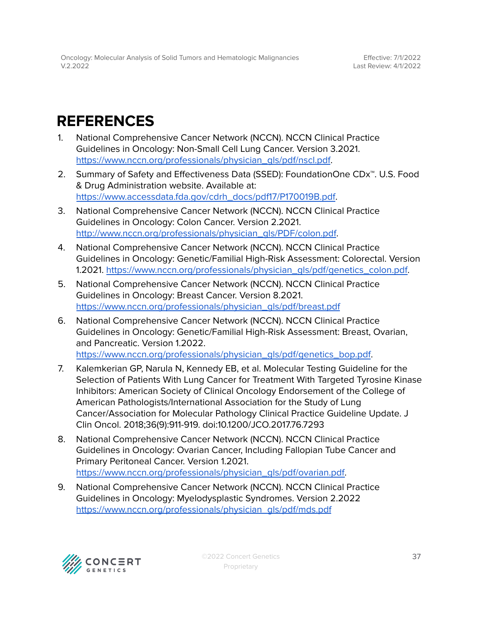## <span id="page-36-0"></span>**REFERENCES**

- 1. National Comprehensive Cancer Network (NCCN). NCCN Clinical Practice Guidelines in Oncology: Non-Small Cell Lung Cancer. Version 3.2021. [https://www.nccn.org/professionals/physician\\_gls/pdf/nscl.pdf.](https://www.nccn.org/professionals/physician_gls/pdf/nscl.pdf)
- 2. Summary of Safety and Effectiveness Data (SSED): FoundationOne CDx™. U.S. Food & Drug Administration website. Available at: [https://www.accessdata.fda.gov/cdrh\\_docs/pdf17/P170019B.pdf](https://www.accessdata.fda.gov/cdrh_docs/pdf17/P170019B.pdf).
- 3. National Comprehensive Cancer Network (NCCN). NCCN Clinical Practice Guidelines in Oncology: Colon Cancer. Version 2.2021. [http://www.nccn.org/professionals/physician\\_gls/PDF/colon.pdf](http://www.nccn.org/professionals/physician_gls/PDF/colon.pdf).
- 4. National Comprehensive Cancer Network (NCCN). NCCN Clinical Practice Guidelines in Oncology: Genetic/Familial High-Risk Assessment: Colorectal. Version 1.2021. [https://www.nccn.org/professionals/physician\\_gls/pdf/genetics\\_colon.pdf.](https://www.nccn.org/professionals/physician_gls/pdf/genetics_colon.pdf)
- 5. National Comprehensive Cancer Network (NCCN). NCCN Clinical Practice Guidelines in Oncology: Breast Cancer. Version 8.2021. [https://www.nccn.org/professionals/physician\\_gls/pdf/breast.pdf](https://www.nccn.org/professionals/physician_gls/pdf/breast.pdf)
- 6. National Comprehensive Cancer Network (NCCN). NCCN Clinical Practice Guidelines in Oncology: Genetic/Familial High-Risk Assessment: Breast, Ovarian, and Pancreatic. Version 1.2022. [https://www.nccn.org/professionals/physician\\_gls/pdf/genetics\\_bop.pdf](https://www.nccn.org/professionals/physician_gls/pdf/genetics_bop.pdf).
- 7. Kalemkerian GP, Narula N, Kennedy EB, et al. Molecular Testing Guideline for the Selection of Patients With Lung Cancer for Treatment With Targeted Tyrosine Kinase Inhibitors: American Society of Clinical Oncology Endorsement of the College of American Pathologists/International Association for the Study of Lung Cancer/Association for Molecular Pathology Clinical Practice Guideline Update. J Clin Oncol. 2018;36(9):911-919. doi:10.1200/JCO.2017.76.7293
- 8. National Comprehensive Cancer Network (NCCN). NCCN Clinical Practice Guidelines in Oncology: Ovarian Cancer, Including Fallopian Tube Cancer and Primary Peritoneal Cancer. Version 1.2021. [https://www.nccn.org/professionals/physician\\_gls/pdf/ovarian.pdf.](https://www.nccn.org/professionals/physician_gls/pdf/ovarian.pdf)
- 9. National Comprehensive Cancer Network (NCCN). NCCN Clinical Practice Guidelines in Oncology: Myelodysplastic Syndromes. Version 2.2022 [https://www.nccn.org/professionals/physician\\_gls/pdf/mds.pdf](https://www.nccn.org/professionals/physician_gls/pdf/mds.pdf)

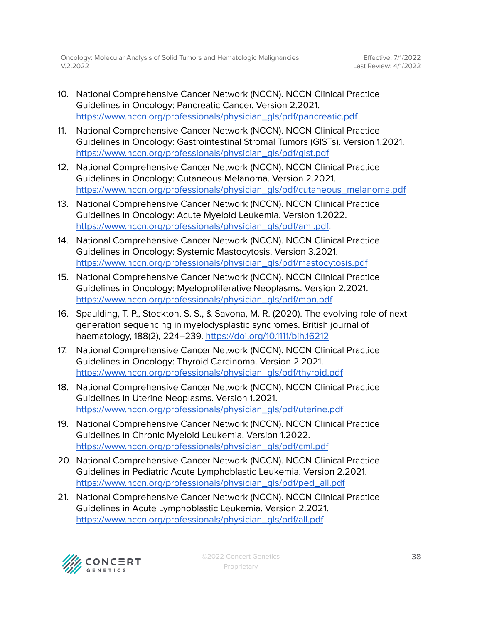- 10. National Comprehensive Cancer Network (NCCN). NCCN Clinical Practice Guidelines in Oncology: Pancreatic Cancer. Version 2.2021. [https://www.nccn.org/professionals/physician\\_gls/pdf/pancreatic.pdf](https://www.nccn.org/professionals/physician_gls/pdf/pancreatic.pdf)
- 11. National Comprehensive Cancer Network (NCCN). NCCN Clinical Practice Guidelines in Oncology: Gastrointestinal Stromal Tumors (GISTs). Version 1.2021. [https://www.nccn.org/professionals/physician\\_gls/pdf/gist.pdf](https://www.nccn.org/professionals/physician_gls/pdf/gist.pdf)
- 12. National Comprehensive Cancer Network (NCCN). NCCN Clinical Practice Guidelines in Oncology: Cutaneous Melanoma. Version 2.2021. [https://www.nccn.org/professionals/physician\\_gls/pdf/cutaneous\\_melanoma.pdf](https://www.nccn.org/professionals/physician_gls/pdf/cutaneous_melanoma.pdf)
- 13. National Comprehensive Cancer Network (NCCN). NCCN Clinical Practice Guidelines in Oncology: Acute Myeloid Leukemia. Version 1.2022. [https://www.nccn.org/professionals/physician\\_gls/pdf/aml.pdf.](https://www.nccn.org/professionals/physician_gls/pdf/aml.pdf)
- 14. National Comprehensive Cancer Network (NCCN). NCCN Clinical Practice Guidelines in Oncology: Systemic Mastocytosis. Version 3.2021. [https://www.nccn.org/professionals/physician\\_gls/pdf/mastocytosis.pdf](https://www.nccn.org/professionals/physician_gls/pdf/mastocytosis.pdf)
- 15. National Comprehensive Cancer Network (NCCN). NCCN Clinical Practice Guidelines in Oncology: Myeloproliferative Neoplasms. Version 2.2021. [https://www.nccn.org/professionals/physician\\_gls/pdf/mpn.pdf](https://www.nccn.org/professionals/physician_gls/pdf/mpn.pdf)
- 16. Spaulding, T. P., Stockton, S. S., & Savona, M. R. (2020). The evolving role of next generation sequencing in myelodysplastic syndromes. British journal of haematology, 188(2), 224–239. <https://doi.org/10.1111/bjh.16212>
- 17. National Comprehensive Cancer Network (NCCN). NCCN Clinical Practice Guidelines in Oncology: Thyroid Carcinoma. Version 2.2021. [https://www.nccn.org/professionals/physician\\_gls/pdf/thyroid.pdf](https://www.nccn.org/professionals/physician_gls/pdf/thyroid.pdf)
- 18. National Comprehensive Cancer Network (NCCN). NCCN Clinical Practice Guidelines in Uterine Neoplasms. Version 1.2021. [https://www.nccn.org/professionals/physician\\_gls/pdf/uterine.pdf](https://www.nccn.org/professionals/physician_gls/pdf/uterine.pdf)
- 19. National Comprehensive Cancer Network (NCCN). NCCN Clinical Practice Guidelines in Chronic Myeloid Leukemia. Version 1.2022. [https://www.nccn.org/professionals/physician\\_gls/pdf/cml.pdf](https://www.nccn.org/professionals/physician_gls/pdf/cml.pdf)
- 20. National Comprehensive Cancer Network (NCCN). NCCN Clinical Practice Guidelines in Pediatric Acute Lymphoblastic Leukemia. Version 2.2021. [https://www.nccn.org/professionals/physician\\_gls/pdf/ped\\_all.pdf](https://www.nccn.org/professionals/physician_gls/pdf/ped_all.pdf)
- 21. National Comprehensive Cancer Network (NCCN). NCCN Clinical Practice Guidelines in Acute Lymphoblastic Leukemia. Version 2.2021. [https://www.nccn.org/professionals/physician\\_gls/pdf/all.pdf](https://www.nccn.org/professionals/physician_gls/pdf/all.pdf)

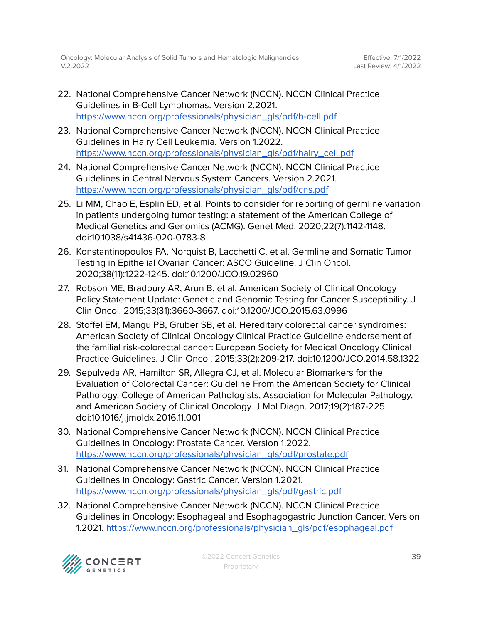- 22. National Comprehensive Cancer Network (NCCN). NCCN Clinical Practice Guidelines in B-Cell Lymphomas. Version 2.2021. [https://www.nccn.org/professionals/physician\\_gls/pdf/b-cell.pdf](https://www.nccn.org/professionals/physician_gls/pdf/b-cell.pdf)
- 23. National Comprehensive Cancer Network (NCCN). NCCN Clinical Practice Guidelines in Hairy Cell Leukemia. Version 1.2022. [https://www.nccn.org/professionals/physician\\_gls/pdf/hairy\\_cell.pdf](https://www.nccn.org/professionals/physician_gls/pdf/hairy_cell.pdf)
- 24. National Comprehensive Cancer Network (NCCN). NCCN Clinical Practice Guidelines in Central Nervous System Cancers. Version 2.2021. [https://www.nccn.org/professionals/physician\\_gls/pdf/cns.pdf](https://www.nccn.org/professionals/physician_gls/pdf/cns.pdf)
- 25. Li MM, Chao E, Esplin ED, et al. Points to consider for reporting of germline variation in patients undergoing tumor testing: a statement of the American College of Medical Genetics and Genomics (ACMG). Genet Med. 2020;22(7):1142-1148. doi:10.1038/s41436-020-0783-8
- 26. Konstantinopoulos PA, Norquist B, Lacchetti C, et al. Germline and Somatic Tumor Testing in Epithelial Ovarian Cancer: ASCO Guideline. J Clin Oncol. 2020;38(11):1222-1245. doi:10.1200/JCO.19.02960
- 27. Robson ME, Bradbury AR, Arun B, et al. American Society of Clinical Oncology Policy Statement Update: Genetic and Genomic Testing for Cancer Susceptibility. J Clin Oncol. 2015;33(31):3660-3667. doi:10.1200/JCO.2015.63.0996
- 28. Stoffel EM, Mangu PB, Gruber SB, et al. Hereditary colorectal cancer syndromes: American Society of Clinical Oncology Clinical Practice Guideline endorsement of the familial risk-colorectal cancer: European Society for Medical Oncology Clinical Practice Guidelines. J Clin Oncol. 2015;33(2):209-217. doi:10.1200/JCO.2014.58.1322
- 29. Sepulveda AR, Hamilton SR, Allegra CJ, et al. Molecular Biomarkers for the Evaluation of Colorectal Cancer: Guideline From the American Society for Clinical Pathology, College of American Pathologists, Association for Molecular Pathology, and American Society of Clinical Oncology. J Mol Diagn. 2017;19(2):187-225. doi:10.1016/j.jmoldx.2016.11.001
- 30. National Comprehensive Cancer Network (NCCN). NCCN Clinical Practice Guidelines in Oncology: Prostate Cancer. Version 1.2022. [https://www.nccn.org/professionals/physician\\_gls/pdf/prostate.pdf](https://www.nccn.org/professionals/physician_gls/pdf/prostate.pdf)
- 31. National Comprehensive Cancer Network (NCCN). NCCN Clinical Practice Guidelines in Oncology: Gastric Cancer. Version 1.2021. [https://www.nccn.org/professionals/physician\\_gls/pdf/gastric.pdf](https://www.nccn.org/professionals/physician_gls/pdf/gastric.pdf)
- 32. National Comprehensive Cancer Network (NCCN). NCCN Clinical Practice Guidelines in Oncology: Esophageal and Esophagogastric Junction Cancer. Version 1.2021. [https://www.nccn.org/professionals/physician\\_gls/pdf/esophageal.pdf](https://www.nccn.org/professionals/physician_gls/pdf/esophageal.pdf)

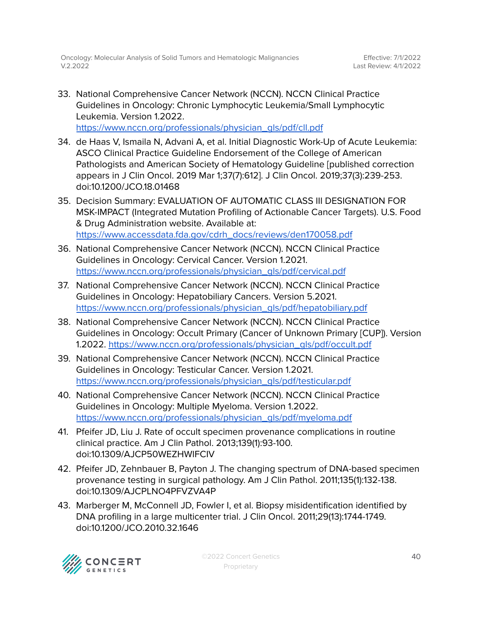33. National Comprehensive Cancer Network (NCCN). NCCN Clinical Practice Guidelines in Oncology: Chronic Lymphocytic Leukemia/Small Lymphocytic Leukemia. Version 1.2022.

[https://www.nccn.org/professionals/physician\\_gls/pdf/cll.pdf](https://www.nccn.org/professionals/physician_gls/pdf/cll.pdf)

- 34. de Haas V, Ismaila N, Advani A, et al. Initial Diagnostic Work-Up of Acute Leukemia: ASCO Clinical Practice Guideline Endorsement of the College of American Pathologists and American Society of Hematology Guideline [published correction appears in J Clin Oncol. 2019 Mar 1;37(7):612]. J Clin Oncol. 2019;37(3):239-253. doi:10.1200/JCO.18.01468
- 35. Decision Summary: EVALUATION OF AUTOMATIC CLASS III DESIGNATION FOR MSK-IMPACT (Integrated Mutation Profiling of Actionable Cancer Targets). U.S. Food & Drug Administration website. Available at: [https://www.accessdata.fda.gov/cdrh\\_docs/reviews/den170058.pdf](https://www.accessdata.fda.gov/cdrh_docs/reviews/den170058.pdf)
- 36. National Comprehensive Cancer Network (NCCN). NCCN Clinical Practice Guidelines in Oncology: Cervical Cancer. Version 1.2021. [https://www.nccn.org/professionals/physician\\_gls/pdf/cervical.pdf](https://www.nccn.org/professionals/physician_gls/pdf/cervical.pdf)
- 37. National Comprehensive Cancer Network (NCCN). NCCN Clinical Practice Guidelines in Oncology: Hepatobiliary Cancers. Version 5.2021. [https://www.nccn.org/professionals/physician\\_gls/pdf/hepatobiliary.pdf](https://www.nccn.org/professionals/physician_gls/pdf/hepatobiliary.pdf)
- 38. National Comprehensive Cancer Network (NCCN). NCCN Clinical Practice Guidelines in Oncology: Occult Primary (Cancer of Unknown Primary [CUP]). Version 1.2022. [https://www.nccn.org/professionals/physician\\_gls/pdf/occult.pdf](https://www.nccn.org/professionals/physician_gls/pdf/occult.pdf)
- 39. National Comprehensive Cancer Network (NCCN). NCCN Clinical Practice Guidelines in Oncology: Testicular Cancer. Version 1.2021. [https://www.nccn.org/professionals/physician\\_gls/pdf/testicular.pdf](https://www.nccn.org/professionals/physician_gls/pdf/testicular.pdf)
- 40. National Comprehensive Cancer Network (NCCN). NCCN Clinical Practice Guidelines in Oncology: Multiple Myeloma. Version 1.2022. [https://www.nccn.org/professionals/physician\\_gls/pdf/myeloma.pdf](https://www.nccn.org/professionals/physician_gls/pdf/myeloma.pdf)
- 41. Pfeifer JD, Liu J. Rate of occult specimen provenance complications in routine clinical practice. Am J Clin Pathol. 2013;139(1):93-100. doi:10.1309/AJCP50WEZHWIFCIV
- 42. Pfeifer JD, Zehnbauer B, Payton J. The changing spectrum of DNA-based specimen provenance testing in surgical pathology. Am J Clin Pathol. 2011;135(1):132-138. doi:10.1309/AJCPLNO4PFVZVA4P
- 43. Marberger M, McConnell JD, Fowler I, et al. Biopsy misidentification identified by DNA profiling in a large multicenter trial. J Clin Oncol. 2011;29(13):1744-1749. doi:10.1200/JCO.2010.32.1646